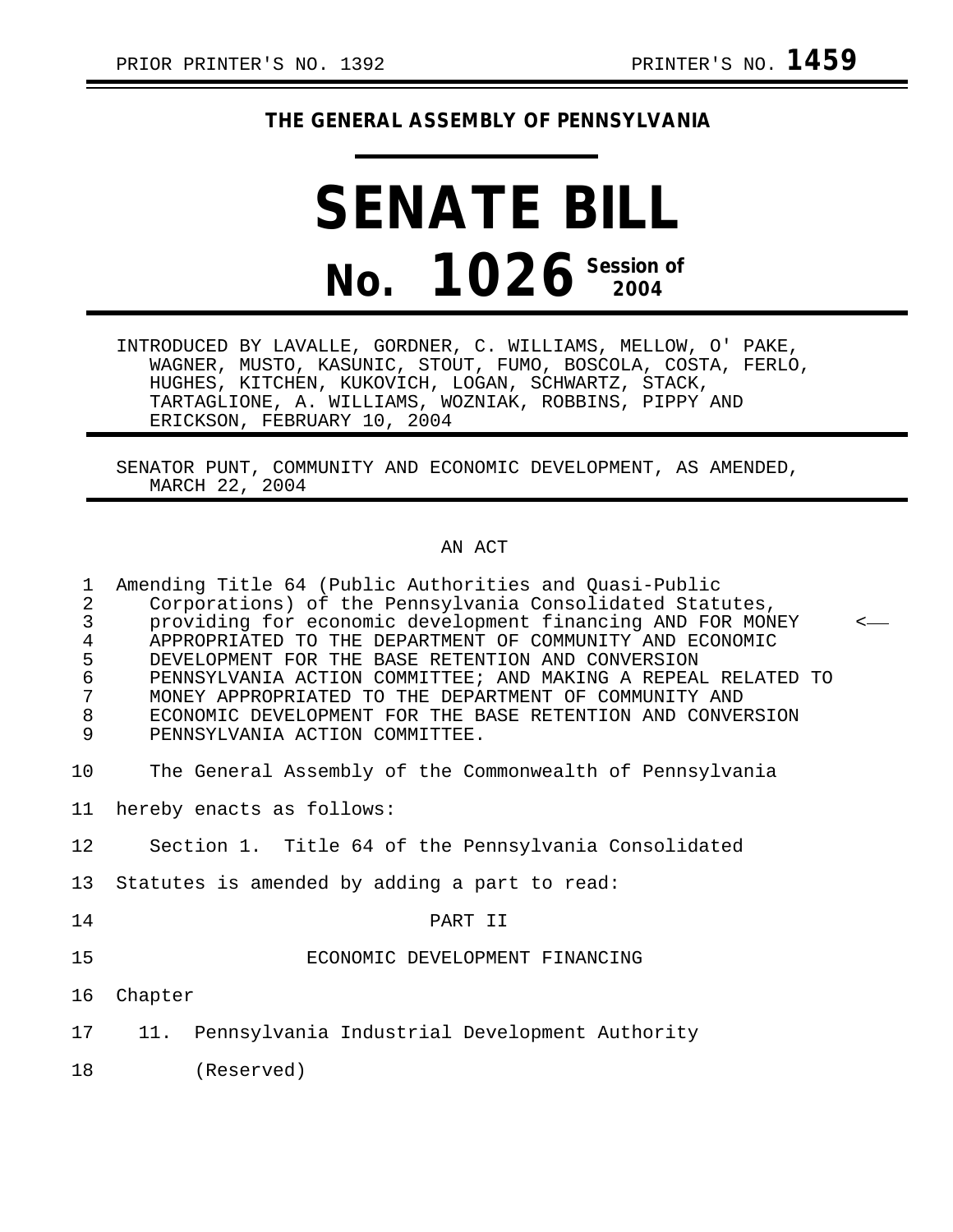## **THE GENERAL ASSEMBLY OF PENNSYLVANIA**

## **SENATE BILL No. 1026 Session of 2004**

INTRODUCED BY LAVALLE, GORDNER, C. WILLIAMS, MELLOW, O' PAKE, WAGNER, MUSTO, KASUNIC, STOUT, FUMO, BOSCOLA, COSTA, FERLO, HUGHES, KITCHEN, KUKOVICH, LOGAN, SCHWARTZ, STACK, TARTAGLIONE, A. WILLIAMS, WOZNIAK, ROBBINS, PIPPY AND ERICKSON, FEBRUARY 10, 2004

SENATOR PUNT, COMMUNITY AND ECONOMIC DEVELOPMENT, AS AMENDED, MARCH 22, 2004

## AN ACT

| 1<br>$\overline{2}$<br>3<br>$\overline{4}$<br>5<br>$\epsilon$<br>7<br>$\,8\,$<br>9 | Amending Title 64 (Public Authorities and Quasi-Public<br>Corporations) of the Pennsylvania Consolidated Statutes,<br>providing for economic development financing AND FOR MONEY<br>APPROPRIATED TO THE DEPARTMENT OF COMMUNITY AND ECONOMIC<br>DEVELOPMENT FOR THE BASE RETENTION AND CONVERSION<br>PENNSYLVANIA ACTION COMMITTEE; AND MAKING A REPEAL RELATED TO<br>MONEY APPROPRIATED TO THE DEPARTMENT OF COMMUNITY AND<br>ECONOMIC DEVELOPMENT FOR THE BASE RETENTION AND CONVERSION<br>PENNSYLVANIA ACTION COMMITTEE. |  |  |  |
|------------------------------------------------------------------------------------|-----------------------------------------------------------------------------------------------------------------------------------------------------------------------------------------------------------------------------------------------------------------------------------------------------------------------------------------------------------------------------------------------------------------------------------------------------------------------------------------------------------------------------|--|--|--|
| 10                                                                                 | The General Assembly of the Commonwealth of Pennsylvania                                                                                                                                                                                                                                                                                                                                                                                                                                                                    |  |  |  |
| 11                                                                                 | hereby enacts as follows:                                                                                                                                                                                                                                                                                                                                                                                                                                                                                                   |  |  |  |
| 12                                                                                 | Section 1. Title 64 of the Pennsylvania Consolidated                                                                                                                                                                                                                                                                                                                                                                                                                                                                        |  |  |  |
| 13                                                                                 | Statutes is amended by adding a part to read:                                                                                                                                                                                                                                                                                                                                                                                                                                                                               |  |  |  |
| 14                                                                                 | PART II                                                                                                                                                                                                                                                                                                                                                                                                                                                                                                                     |  |  |  |
| 15                                                                                 | ECONOMIC DEVELOPMENT FINANCING                                                                                                                                                                                                                                                                                                                                                                                                                                                                                              |  |  |  |
| 16                                                                                 | Chapter                                                                                                                                                                                                                                                                                                                                                                                                                                                                                                                     |  |  |  |
| 17                                                                                 | Pennsylvania Industrial Development Authority<br>11.                                                                                                                                                                                                                                                                                                                                                                                                                                                                        |  |  |  |
| 18                                                                                 | (Reserved)                                                                                                                                                                                                                                                                                                                                                                                                                                                                                                                  |  |  |  |
|                                                                                    |                                                                                                                                                                                                                                                                                                                                                                                                                                                                                                                             |  |  |  |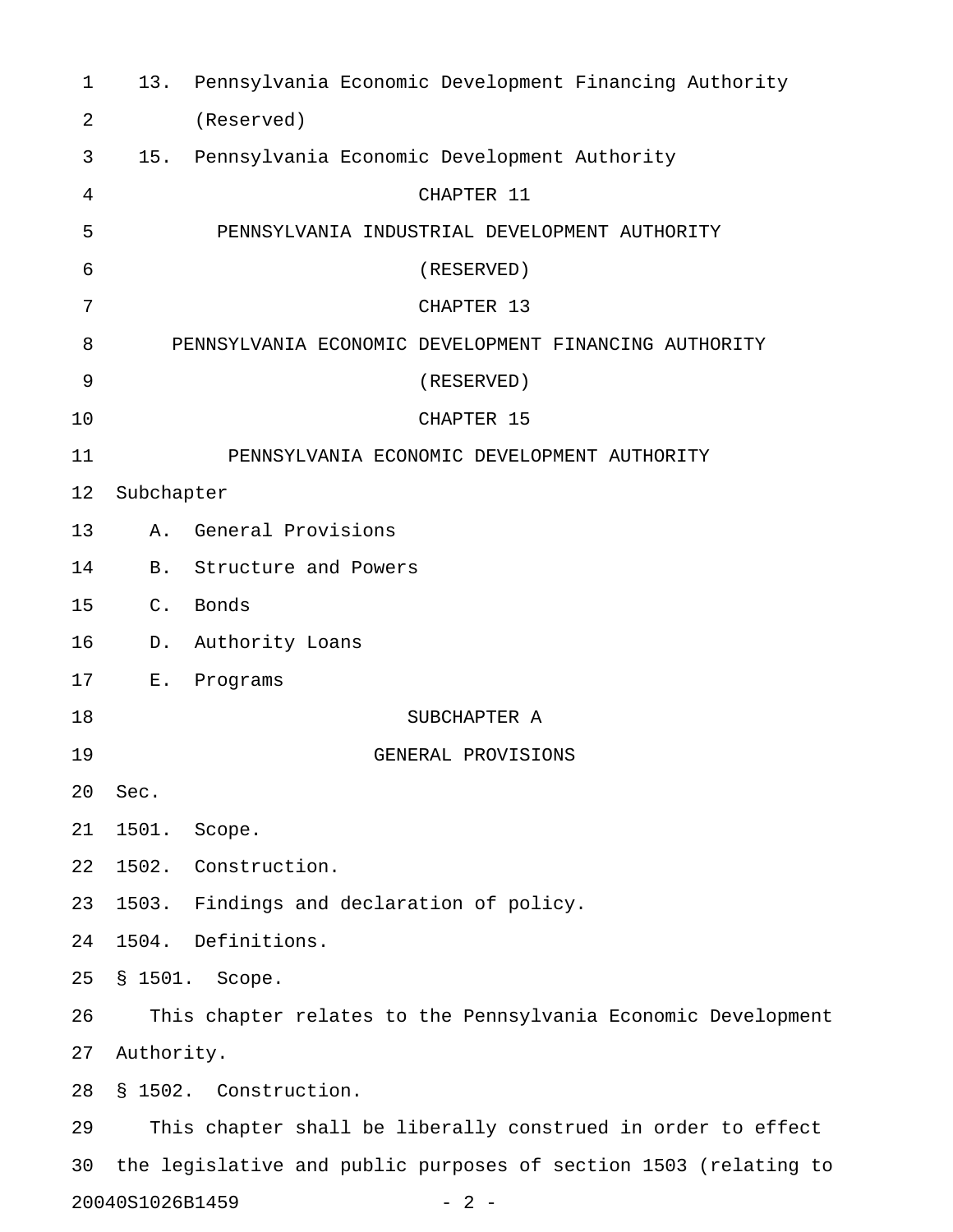| $\mathbf{1}$   |                 | 13. Pennsylvania Economic Development Financing Authority        |
|----------------|-----------------|------------------------------------------------------------------|
| $\overline{a}$ |                 | (Reserved)                                                       |
| 3              |                 | 15. Pennsylvania Economic Development Authority                  |
| 4              |                 | CHAPTER 11                                                       |
| 5              |                 | PENNSYLVANIA INDUSTRIAL DEVELOPMENT AUTHORITY                    |
| 6              |                 | (RESERVED)                                                       |
| 7              |                 | CHAPTER 13                                                       |
| 8              |                 | PENNSYLVANIA ECONOMIC DEVELOPMENT FINANCING AUTHORITY            |
| 9              |                 | (RESERVED)                                                       |
| 10             |                 | CHAPTER 15                                                       |
| 11             |                 | PENNSYLVANIA ECONOMIC DEVELOPMENT AUTHORITY                      |
| 12             | Subchapter      |                                                                  |
| 13             | Α.              | General Provisions                                               |
| 14             |                 | B. Structure and Powers                                          |
| 15             | $C$ .           | Bonds                                                            |
| 16             | D.              | Authority Loans                                                  |
| 17             | $E$ .           | Programs                                                         |
| 18             |                 | SUBCHAPTER A                                                     |
| 19             |                 | GENERAL PROVISIONS                                               |
| 20             | Sec.            |                                                                  |
| 21             | 1501.           | Scope.                                                           |
| 22             |                 | 1502. Construction.                                              |
| 23             |                 | 1503. Findings and declaration of policy.                        |
| 24             |                 | 1504. Definitions.                                               |
| 25             |                 | § 1501. Scope.                                                   |
| 26             |                 | This chapter relates to the Pennsylvania Economic Development    |
| 27             | Authority.      |                                                                  |
| 28             |                 | § 1502. Construction.                                            |
| 29             |                 | This chapter shall be liberally construed in order to effect     |
| 30             |                 | the legislative and public purposes of section 1503 (relating to |
|                | 20040S1026B1459 | $-2-$                                                            |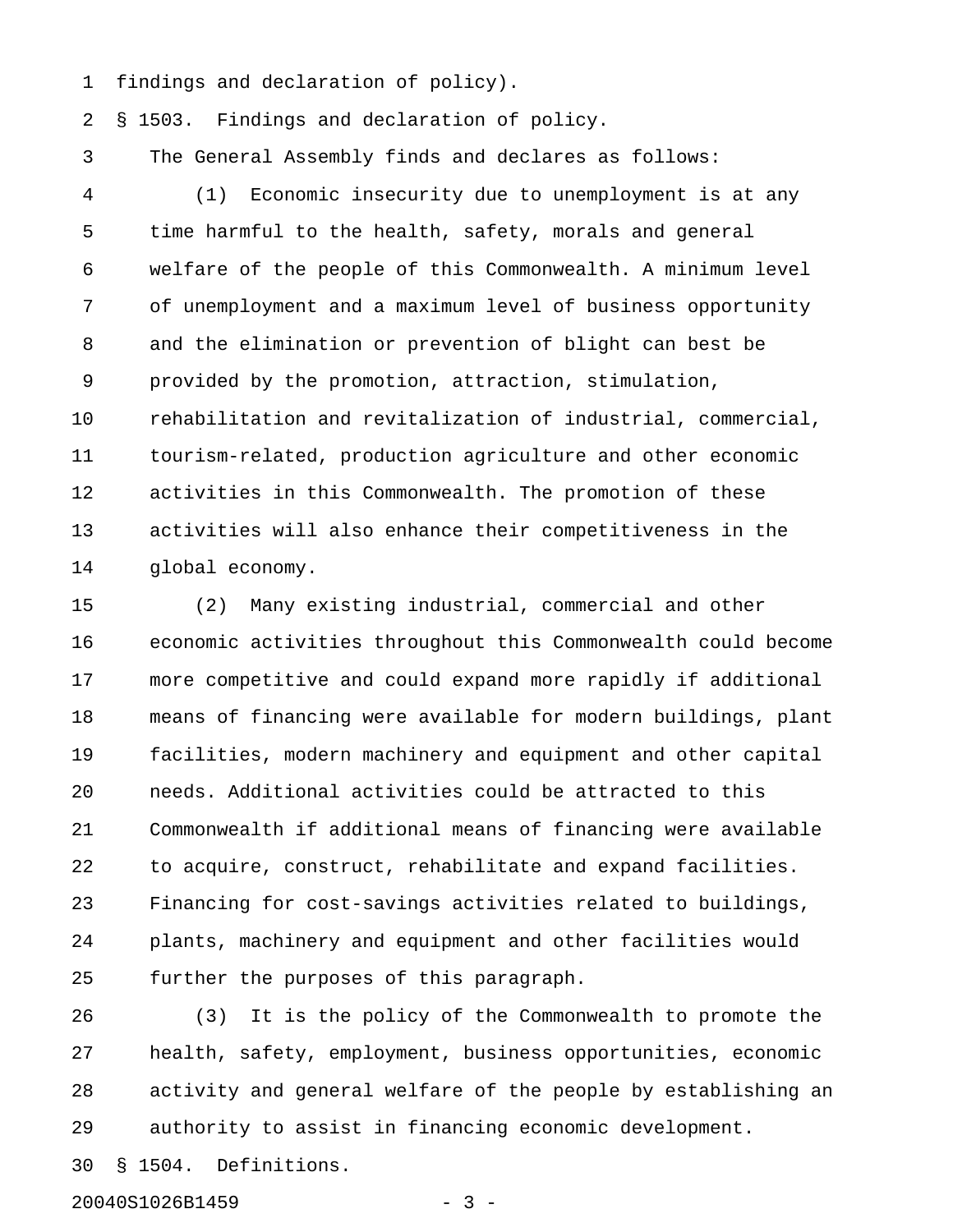1 findings and declaration of policy).

2 § 1503. Findings and declaration of policy.

3 The General Assembly finds and declares as follows:

4 (1) Economic insecurity due to unemployment is at any 5 time harmful to the health, safety, morals and general 6 welfare of the people of this Commonwealth. A minimum level 7 of unemployment and a maximum level of business opportunity 8 and the elimination or prevention of blight can best be 9 provided by the promotion, attraction, stimulation, 10 rehabilitation and revitalization of industrial, commercial, 11 tourism-related, production agriculture and other economic 12 activities in this Commonwealth. The promotion of these 13 activities will also enhance their competitiveness in the 14 global economy.

15 (2) Many existing industrial, commercial and other 16 economic activities throughout this Commonwealth could become 17 more competitive and could expand more rapidly if additional 18 means of financing were available for modern buildings, plant 19 facilities, modern machinery and equipment and other capital 20 needs. Additional activities could be attracted to this 21 Commonwealth if additional means of financing were available 22 to acquire, construct, rehabilitate and expand facilities. 23 Financing for cost-savings activities related to buildings, 24 plants, machinery and equipment and other facilities would 25 further the purposes of this paragraph.

26 (3) It is the policy of the Commonwealth to promote the 27 health, safety, employment, business opportunities, economic 28 activity and general welfare of the people by establishing an 29 authority to assist in financing economic development.

30 § 1504. Definitions.

20040S1026B1459 - 3 -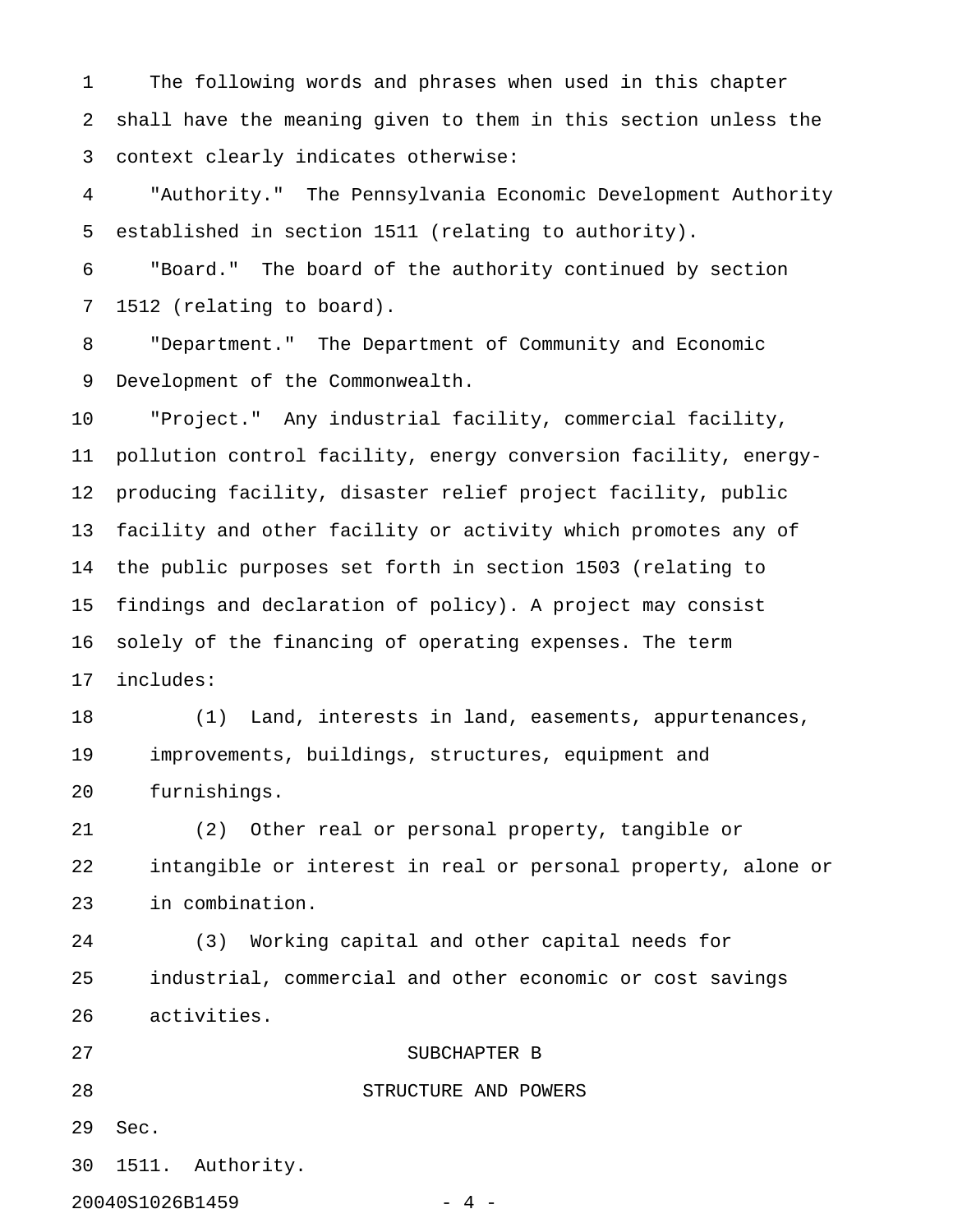1 The following words and phrases when used in this chapter 2 shall have the meaning given to them in this section unless the 3 context clearly indicates otherwise:

4 "Authority." The Pennsylvania Economic Development Authority 5 established in section 1511 (relating to authority).

6 "Board." The board of the authority continued by section 7 1512 (relating to board).

8 "Department." The Department of Community and Economic 9 Development of the Commonwealth.

10 "Project." Any industrial facility, commercial facility, 11 pollution control facility, energy conversion facility, energy-12 producing facility, disaster relief project facility, public 13 facility and other facility or activity which promotes any of 14 the public purposes set forth in section 1503 (relating to 15 findings and declaration of policy). A project may consist 16 solely of the financing of operating expenses. The term 17 includes:

18 (1) Land, interests in land, easements, appurtenances, 19 improvements, buildings, structures, equipment and 20 furnishings.

21 (2) Other real or personal property, tangible or 22 intangible or interest in real or personal property, alone or 23 in combination.

24 (3) Working capital and other capital needs for 25 industrial, commercial and other economic or cost savings 26 activities.

28 STRUCTURE AND POWERS

## 27 SUBCHAPTER B

29 Sec.

30 1511. Authority.

20040S1026B1459 - 4 -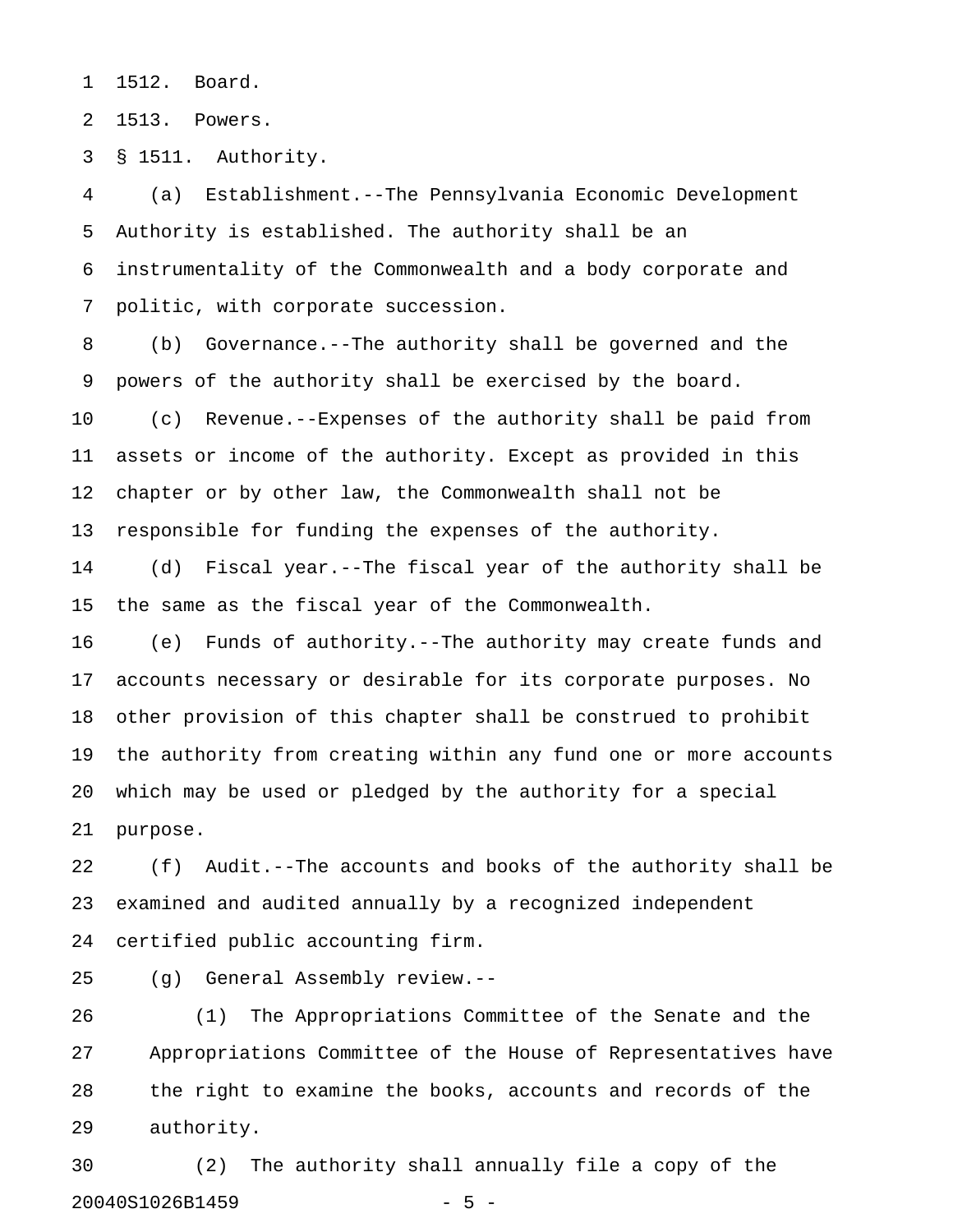1 1512. Board.

2 1513. Powers.

3 § 1511. Authority.

4 (a) Establishment.--The Pennsylvania Economic Development 5 Authority is established. The authority shall be an 6 instrumentality of the Commonwealth and a body corporate and 7 politic, with corporate succession.

8 (b) Governance.--The authority shall be governed and the 9 powers of the authority shall be exercised by the board.

10 (c) Revenue.--Expenses of the authority shall be paid from 11 assets or income of the authority. Except as provided in this 12 chapter or by other law, the Commonwealth shall not be 13 responsible for funding the expenses of the authority.

14 (d) Fiscal year.--The fiscal year of the authority shall be 15 the same as the fiscal year of the Commonwealth.

16 (e) Funds of authority.--The authority may create funds and 17 accounts necessary or desirable for its corporate purposes. No 18 other provision of this chapter shall be construed to prohibit 19 the authority from creating within any fund one or more accounts 20 which may be used or pledged by the authority for a special 21 purpose.

22 (f) Audit.--The accounts and books of the authority shall be 23 examined and audited annually by a recognized independent 24 certified public accounting firm.

25 (g) General Assembly review.--

26 (1) The Appropriations Committee of the Senate and the 27 Appropriations Committee of the House of Representatives have 28 the right to examine the books, accounts and records of the 29 authority.

30 (2) The authority shall annually file a copy of the 20040S1026B1459 - 5 -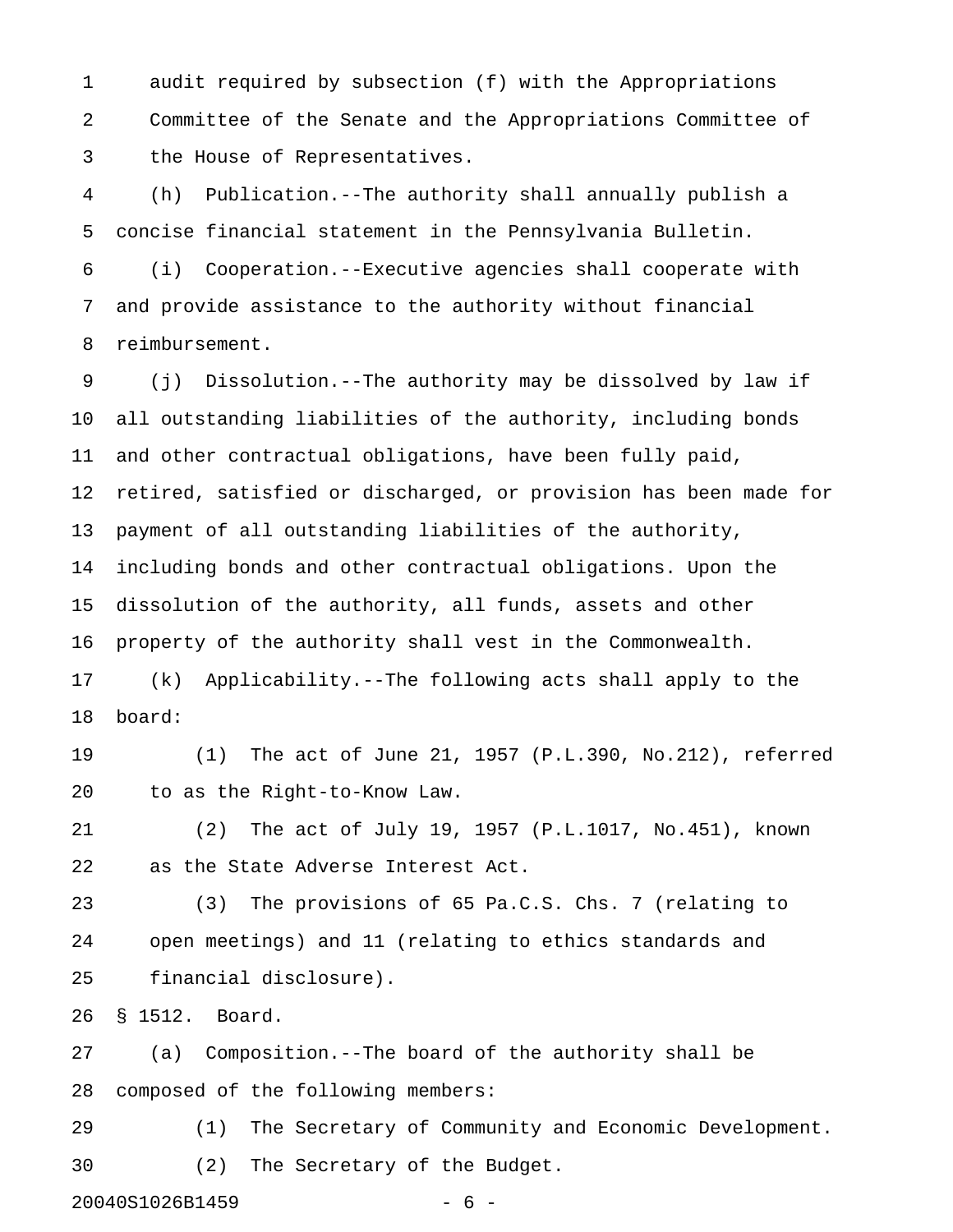1 audit required by subsection (f) with the Appropriations 2 Committee of the Senate and the Appropriations Committee of 3 the House of Representatives.

4 (h) Publication.--The authority shall annually publish a 5 concise financial statement in the Pennsylvania Bulletin.

6 (i) Cooperation.--Executive agencies shall cooperate with 7 and provide assistance to the authority without financial 8 reimbursement.

9 (j) Dissolution.--The authority may be dissolved by law if 10 all outstanding liabilities of the authority, including bonds 11 and other contractual obligations, have been fully paid, 12 retired, satisfied or discharged, or provision has been made for 13 payment of all outstanding liabilities of the authority, 14 including bonds and other contractual obligations. Upon the 15 dissolution of the authority, all funds, assets and other 16 property of the authority shall vest in the Commonwealth.

17 (k) Applicability.--The following acts shall apply to the 18 board:

19 (1) The act of June 21, 1957 (P.L.390, No.212), referred 20 to as the Right-to-Know Law.

21 (2) The act of July 19, 1957 (P.L.1017, No.451), known 22 as the State Adverse Interest Act.

23 (3) The provisions of 65 Pa.C.S. Chs. 7 (relating to 24 open meetings) and 11 (relating to ethics standards and 25 financial disclosure).

26 § 1512. Board.

27 (a) Composition.--The board of the authority shall be 28 composed of the following members:

29 (1) The Secretary of Community and Economic Development. 30 (2) The Secretary of the Budget.

20040S1026B1459 - 6 -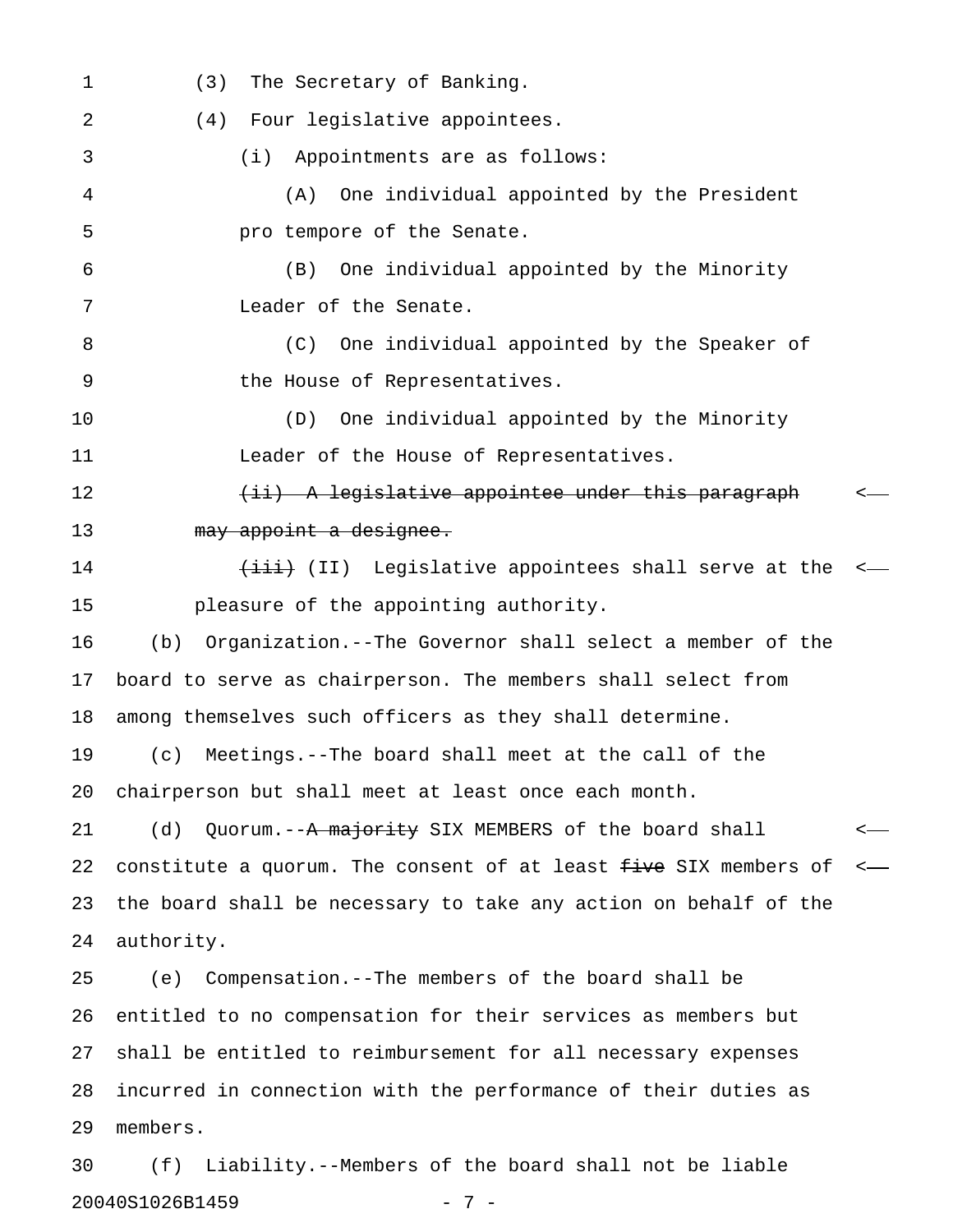1 (3) The Secretary of Banking. 2 (4) Four legislative appointees. 3 (i) Appointments are as follows: 4 (A) One individual appointed by the President 5 **pro tempore of the Senate.** 6 (B) One individual appointed by the Minority 7 Leader of the Senate. 8 (C) One individual appointed by the Speaker of 9 the House of Representatives. 10 (D) One individual appointed by the Minority 11 Leader of the House of Representatives. 12 (ii) A legislative appointee under this paragraph < 13 may appoint a designee. 14 (iii) Legislative appointees shall serve at the  $\leftarrow$ 15 pleasure of the appointing authority. 16 (b) Organization.--The Governor shall select a member of the 17 board to serve as chairperson. The members shall select from 18 among themselves such officers as they shall determine. 19 (c) Meetings.--The board shall meet at the call of the 20 chairperson but shall meet at least once each month. 21 (d) Quorum.--<del>A majority</del> SIX MEMBERS of the board shall <-22 constitute a quorum. The consent of at least  $f$ ive SIX members of  $\leftarrow$ 23 the board shall be necessary to take any action on behalf of the 24 authority. 25 (e) Compensation.--The members of the board shall be 26 entitled to no compensation for their services as members but 27 shall be entitled to reimbursement for all necessary expenses 28 incurred in connection with the performance of their duties as 29 members.

30 (f) Liability.--Members of the board shall not be liable 20040S1026B1459 - 7 -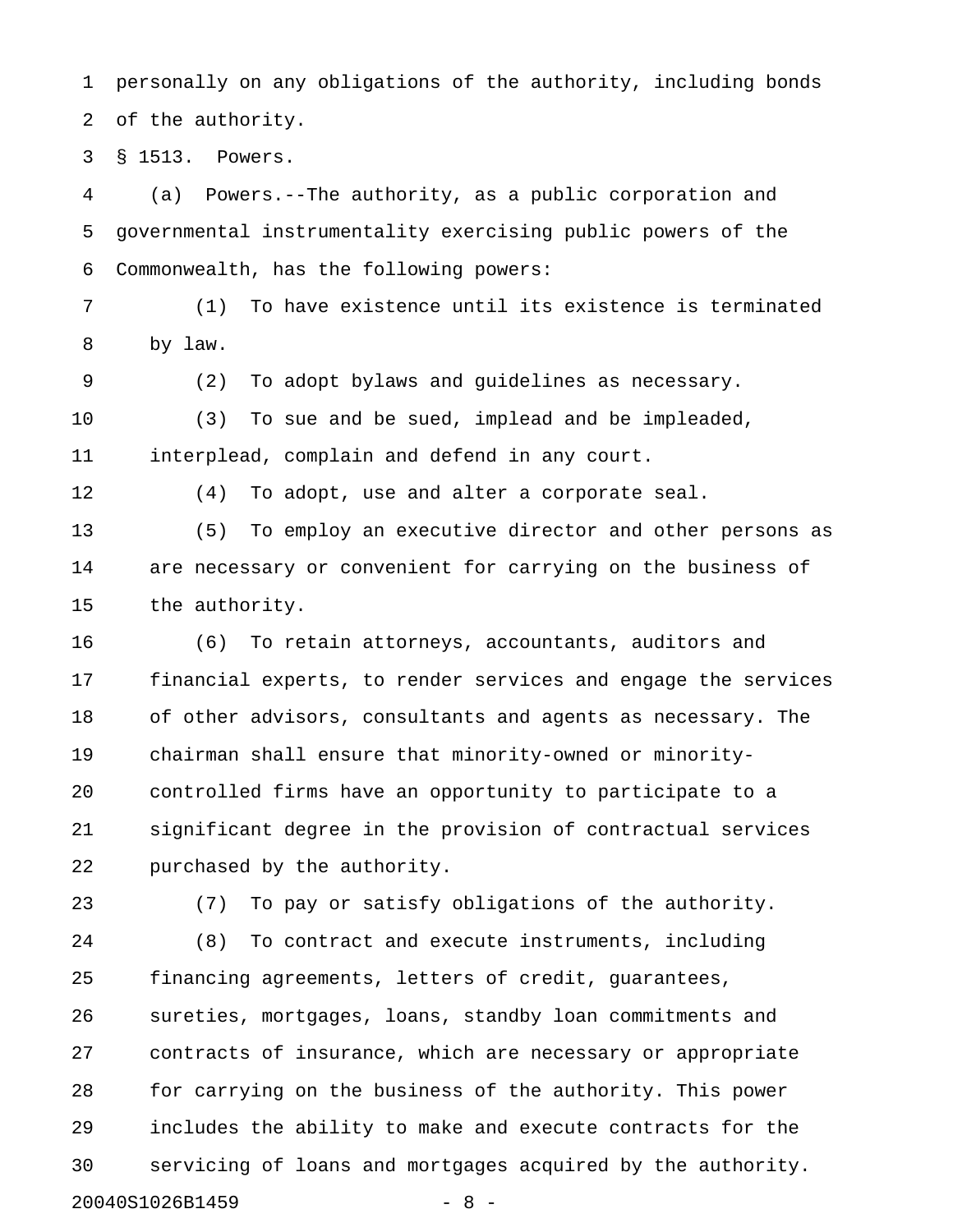1 personally on any obligations of the authority, including bonds 2 of the authority.

3 § 1513. Powers.

4 (a) Powers.--The authority, as a public corporation and 5 governmental instrumentality exercising public powers of the 6 Commonwealth, has the following powers:

7 (1) To have existence until its existence is terminated 8 by law.

9 (2) To adopt bylaws and guidelines as necessary.

10 (3) To sue and be sued, implead and be impleaded, 11 interplead, complain and defend in any court.

12 (4) To adopt, use and alter a corporate seal.

13 (5) To employ an executive director and other persons as 14 are necessary or convenient for carrying on the business of 15 the authority.

16 (6) To retain attorneys, accountants, auditors and 17 financial experts, to render services and engage the services 18 of other advisors, consultants and agents as necessary. The 19 chairman shall ensure that minority-owned or minority-20 controlled firms have an opportunity to participate to a 21 significant degree in the provision of contractual services 22 purchased by the authority.

23 (7) To pay or satisfy obligations of the authority.

24 (8) To contract and execute instruments, including 25 financing agreements, letters of credit, guarantees, 26 sureties, mortgages, loans, standby loan commitments and 27 contracts of insurance, which are necessary or appropriate 28 for carrying on the business of the authority. This power 29 includes the ability to make and execute contracts for the 30 servicing of loans and mortgages acquired by the authority. 20040S1026B1459 - 8 -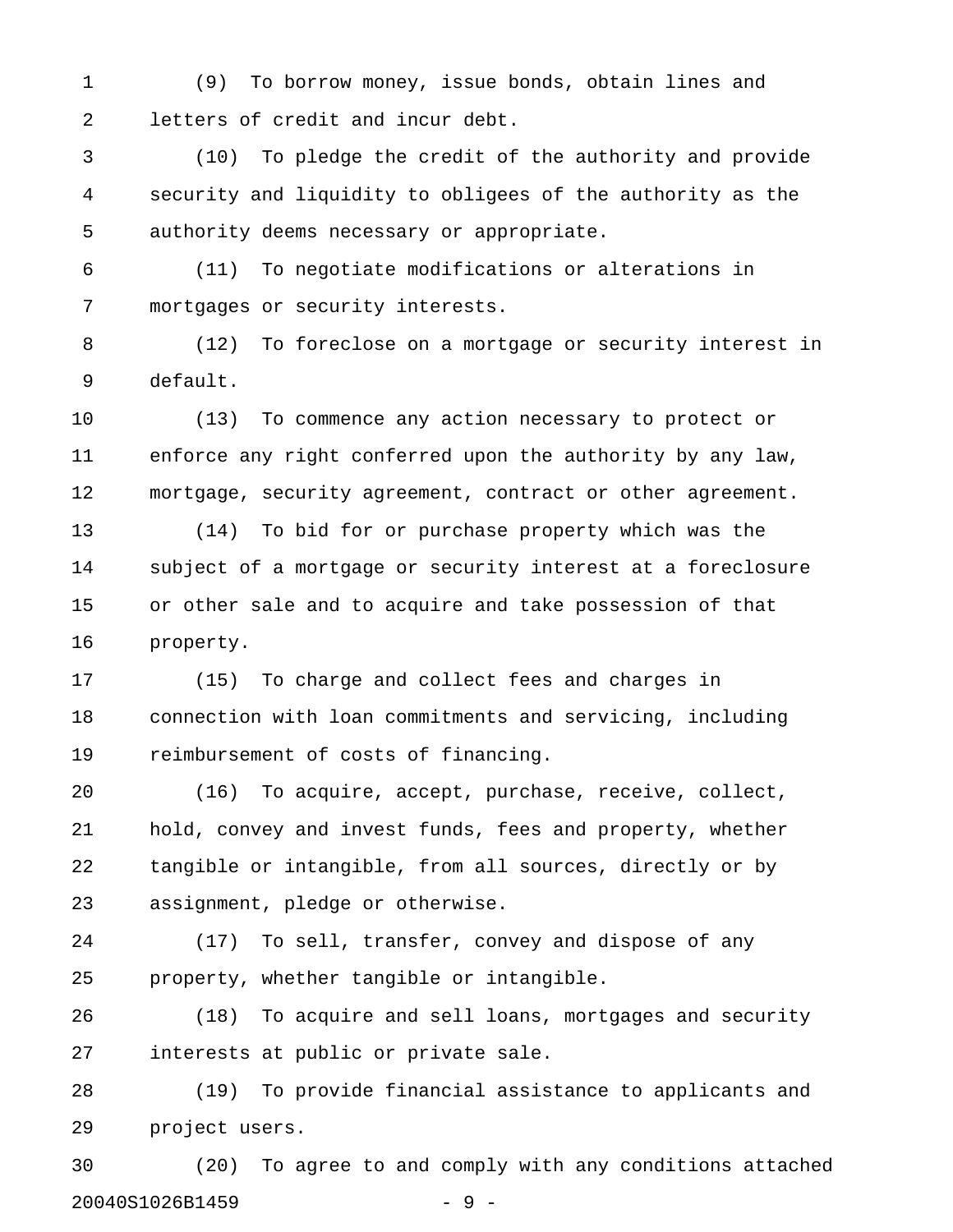1 (9) To borrow money, issue bonds, obtain lines and 2 letters of credit and incur debt.

3 (10) To pledge the credit of the authority and provide 4 security and liquidity to obligees of the authority as the 5 authority deems necessary or appropriate.

6 (11) To negotiate modifications or alterations in 7 mortgages or security interests.

8 (12) To foreclose on a mortgage or security interest in 9 default.

10 (13) To commence any action necessary to protect or 11 enforce any right conferred upon the authority by any law, 12 mortgage, security agreement, contract or other agreement.

13 (14) To bid for or purchase property which was the 14 subject of a mortgage or security interest at a foreclosure 15 or other sale and to acquire and take possession of that 16 property.

17 (15) To charge and collect fees and charges in 18 connection with loan commitments and servicing, including 19 reimbursement of costs of financing.

20 (16) To acquire, accept, purchase, receive, collect, 21 hold, convey and invest funds, fees and property, whether 22 tangible or intangible, from all sources, directly or by 23 assignment, pledge or otherwise.

24 (17) To sell, transfer, convey and dispose of any 25 property, whether tangible or intangible.

26 (18) To acquire and sell loans, mortgages and security 27 interests at public or private sale.

28 (19) To provide financial assistance to applicants and 29 project users.

30 (20) To agree to and comply with any conditions attached 20040S1026B1459 - 9 -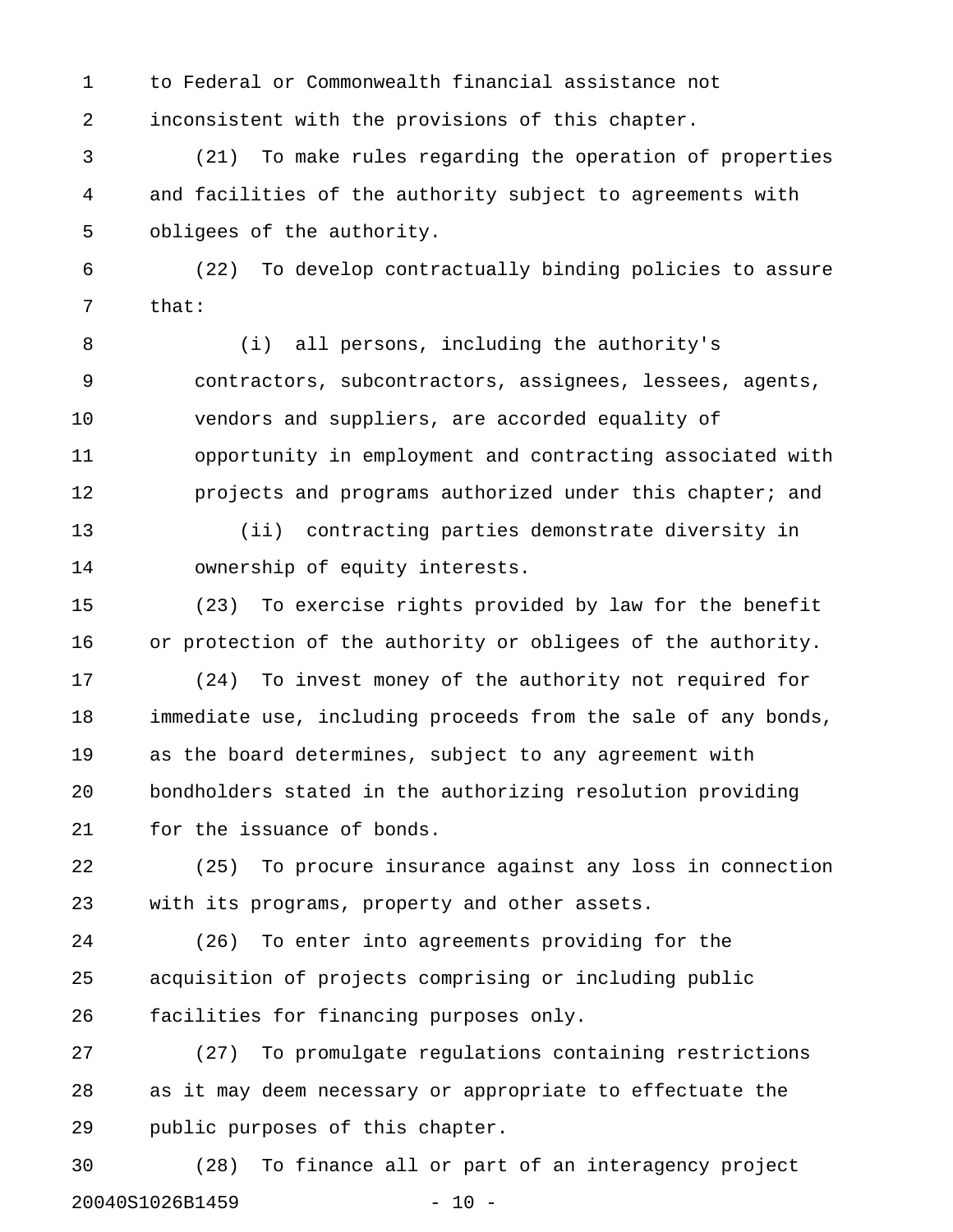1 to Federal or Commonwealth financial assistance not 2 inconsistent with the provisions of this chapter.

3 (21) To make rules regarding the operation of properties 4 and facilities of the authority subject to agreements with 5 obligees of the authority.

6 (22) To develop contractually binding policies to assure 7 that:

8 (i) all persons, including the authority's 9 contractors, subcontractors, assignees, lessees, agents, 10 vendors and suppliers, are accorded equality of 11 opportunity in employment and contracting associated with 12 **projects and programs authorized under this chapter; and** 

13 (ii) contracting parties demonstrate diversity in 14 ownership of equity interests.

15 (23) To exercise rights provided by law for the benefit 16 or protection of the authority or obligees of the authority.

17 (24) To invest money of the authority not required for 18 immediate use, including proceeds from the sale of any bonds, 19 as the board determines, subject to any agreement with 20 bondholders stated in the authorizing resolution providing 21 for the issuance of bonds.

22 (25) To procure insurance against any loss in connection 23 with its programs, property and other assets.

24 (26) To enter into agreements providing for the 25 acquisition of projects comprising or including public 26 facilities for financing purposes only.

27 (27) To promulgate regulations containing restrictions 28 as it may deem necessary or appropriate to effectuate the 29 public purposes of this chapter.

30 (28) To finance all or part of an interagency project 20040S1026B1459 - 10 -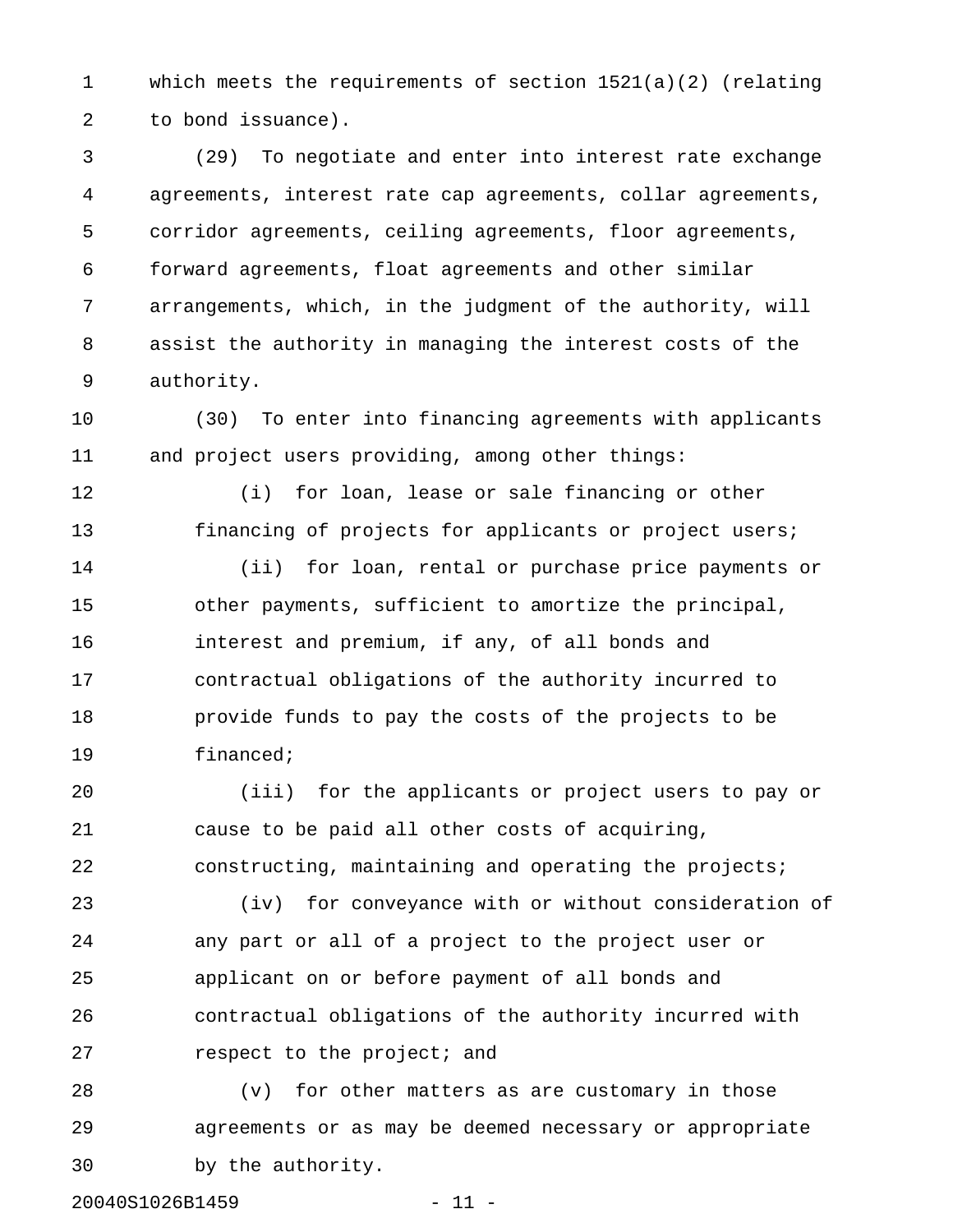1 which meets the requirements of section 1521(a)(2) (relating 2 to bond issuance).

3 (29) To negotiate and enter into interest rate exchange 4 agreements, interest rate cap agreements, collar agreements, 5 corridor agreements, ceiling agreements, floor agreements, 6 forward agreements, float agreements and other similar 7 arrangements, which, in the judgment of the authority, will 8 assist the authority in managing the interest costs of the 9 authority.

10 (30) To enter into financing agreements with applicants 11 and project users providing, among other things:

12 (i) for loan, lease or sale financing or other 13 financing of projects for applicants or project users;

14 (ii) for loan, rental or purchase price payments or 15 other payments, sufficient to amortize the principal, 16 interest and premium, if any, of all bonds and 17 contractual obligations of the authority incurred to 18 provide funds to pay the costs of the projects to be 19 financed;

20 (iii) for the applicants or project users to pay or 21 cause to be paid all other costs of acquiring, 22 constructing, maintaining and operating the projects;

23 (iv) for conveyance with or without consideration of 24 any part or all of a project to the project user or 25 applicant on or before payment of all bonds and 26 contractual obligations of the authority incurred with 27 **respect** to the project; and

28 (v) for other matters as are customary in those 29 agreements or as may be deemed necessary or appropriate 30 by the authority.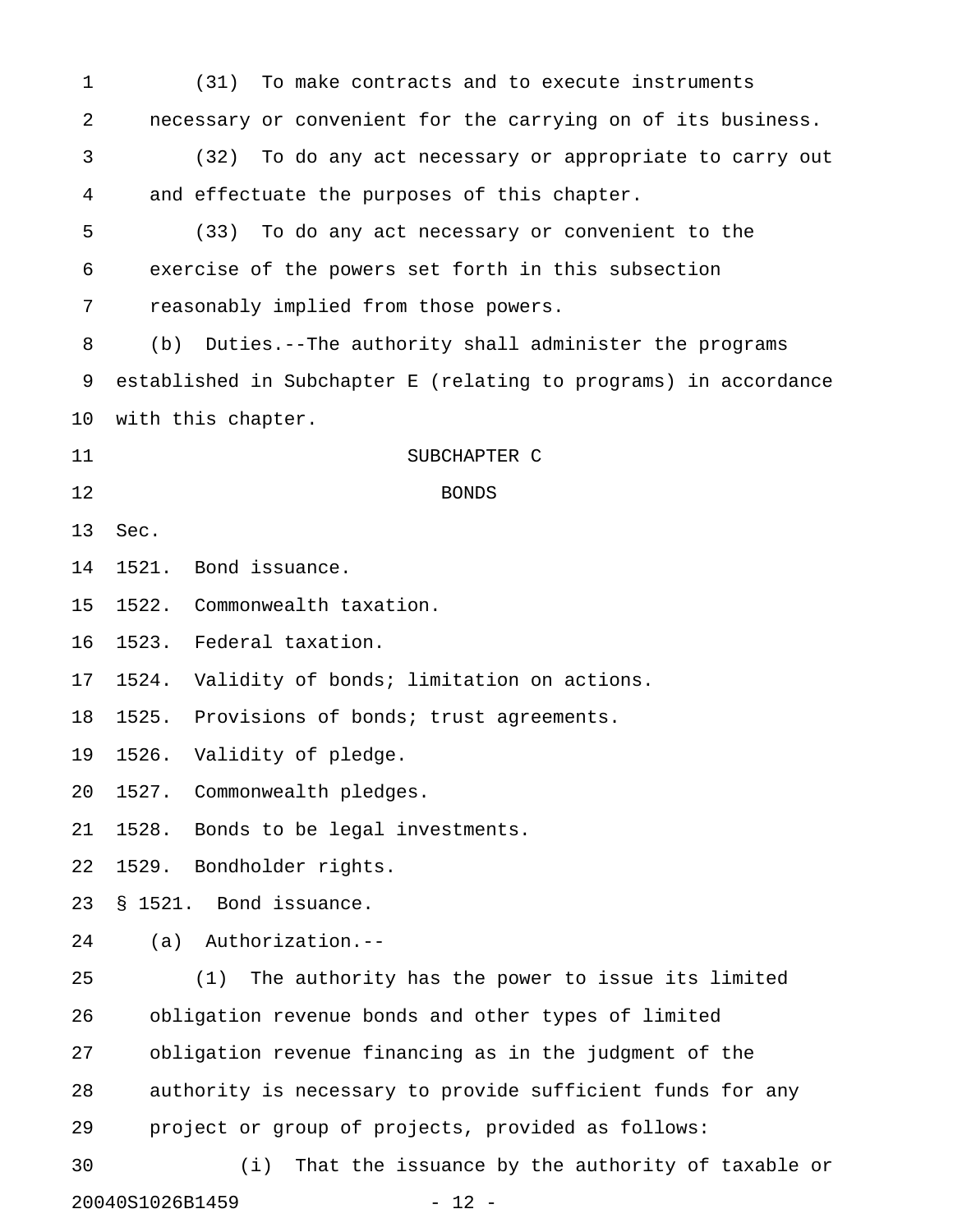| 1                          | (31)<br>To make contracts and to execute instruments             |  |  |
|----------------------------|------------------------------------------------------------------|--|--|
| $\sqrt{2}$                 | necessary or convenient for the carrying on of its business.     |  |  |
| 3                          | To do any act necessary or appropriate to carry out<br>(32)      |  |  |
| 4                          | and effectuate the purposes of this chapter.                     |  |  |
| 5                          | (33)<br>To do any act necessary or convenient to the             |  |  |
| 6                          | exercise of the powers set forth in this subsection              |  |  |
| 7                          | reasonably implied from those powers.                            |  |  |
| 8                          | Duties.--The authority shall administer the programs<br>(b)      |  |  |
| 9                          | established in Subchapter E (relating to programs) in accordance |  |  |
| 10                         | with this chapter.                                               |  |  |
| 11                         | SUBCHAPTER C                                                     |  |  |
| 12                         | <b>BONDS</b>                                                     |  |  |
| 13                         | Sec.                                                             |  |  |
| 14                         | Bond issuance.<br>1521.                                          |  |  |
| 15                         | Commonwealth taxation.<br>1522.                                  |  |  |
| 16                         | Federal taxation.<br>1523.                                       |  |  |
| 17                         | Validity of bonds; limitation on actions.<br>1524.               |  |  |
| 18                         | Provisions of bonds; trust agreements.<br>1525.                  |  |  |
| 19                         | Validity of pledge.<br>1526.                                     |  |  |
| 20                         | 1527. Commonwealth pledges.                                      |  |  |
| 21                         | Bonds to be legal investments.<br>1528.                          |  |  |
| 22                         | 1529. Bondholder rights.                                         |  |  |
| 23                         | Bond issuance.<br>\$1521.                                        |  |  |
| 24                         | $(a)$ Authorization.--                                           |  |  |
| 25                         | The authority has the power to issue its limited<br>(1)          |  |  |
| 26                         | obligation revenue bonds and other types of limited              |  |  |
| 27                         | obligation revenue financing as in the judgment of the           |  |  |
| 28                         | authority is necessary to provide sufficient funds for any       |  |  |
| 29                         | project or group of projects, provided as follows:               |  |  |
| 30                         | That the issuance by the authority of taxable or<br>(i)          |  |  |
| 20040S1026B1459<br>$-12 -$ |                                                                  |  |  |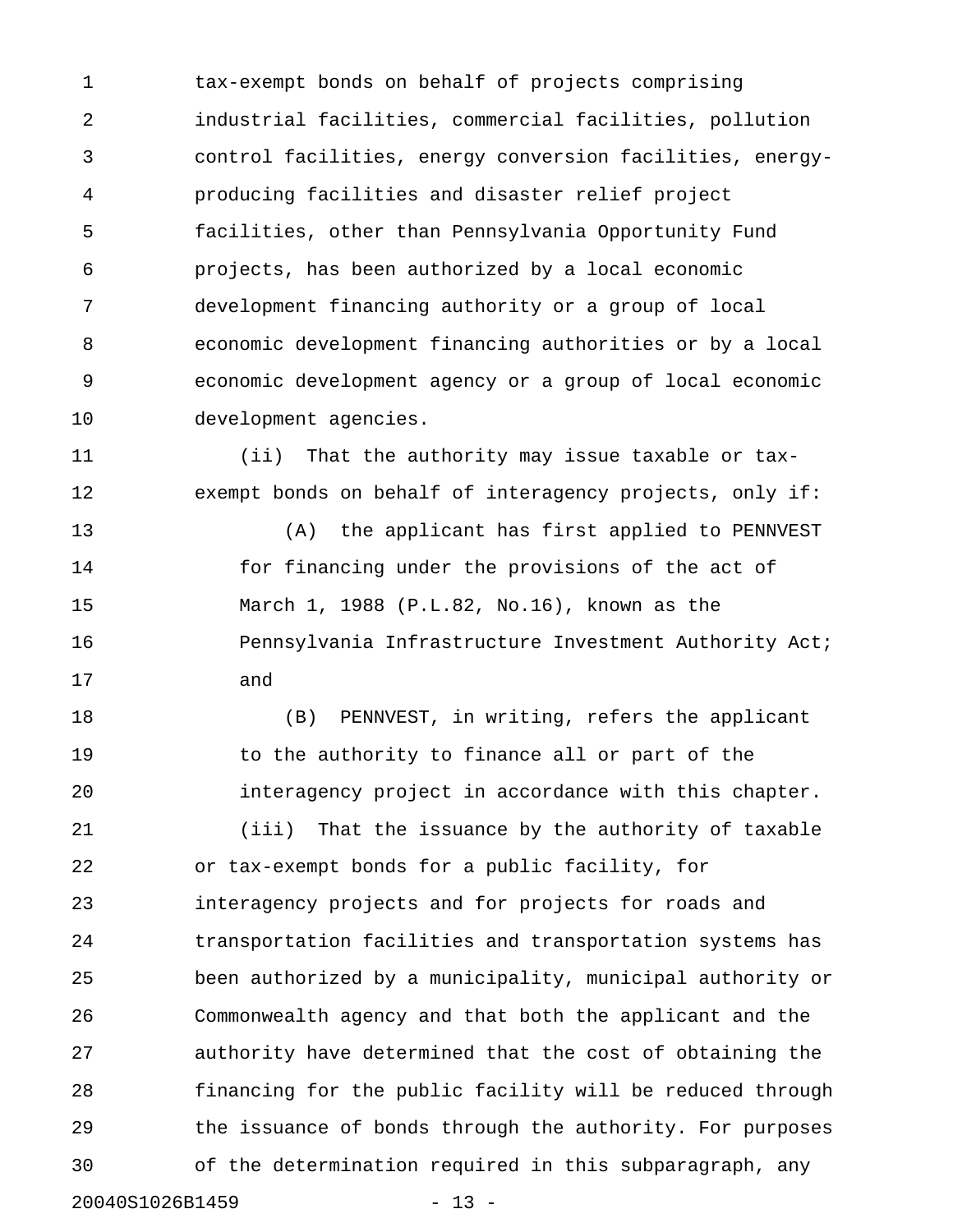1 tax-exempt bonds on behalf of projects comprising 2 industrial facilities, commercial facilities, pollution 3 control facilities, energy conversion facilities, energy-4 producing facilities and disaster relief project 5 facilities, other than Pennsylvania Opportunity Fund 6 projects, has been authorized by a local economic 7 development financing authority or a group of local 8 economic development financing authorities or by a local 9 economic development agency or a group of local economic 10 development agencies.

11 (ii) That the authority may issue taxable or tax-12 exempt bonds on behalf of interagency projects, only if:

13 (A) the applicant has first applied to PENNVEST 14 for financing under the provisions of the act of 15 March 1, 1988 (P.L.82, No.16), known as the 16 **Pennsylvania Infrastructure Investment Authority Act;** 17 and

18 (B) PENNVEST, in writing, refers the applicant 19 to the authority to finance all or part of the 20 interagency project in accordance with this chapter. 21 (iii) That the issuance by the authority of taxable 22 or tax-exempt bonds for a public facility, for 23 interagency projects and for projects for roads and 24 transportation facilities and transportation systems has 25 been authorized by a municipality, municipal authority or 26 Commonwealth agency and that both the applicant and the 27 authority have determined that the cost of obtaining the 28 financing for the public facility will be reduced through 29 the issuance of bonds through the authority. For purposes 30 of the determination required in this subparagraph, any

20040S1026B1459 - 13 -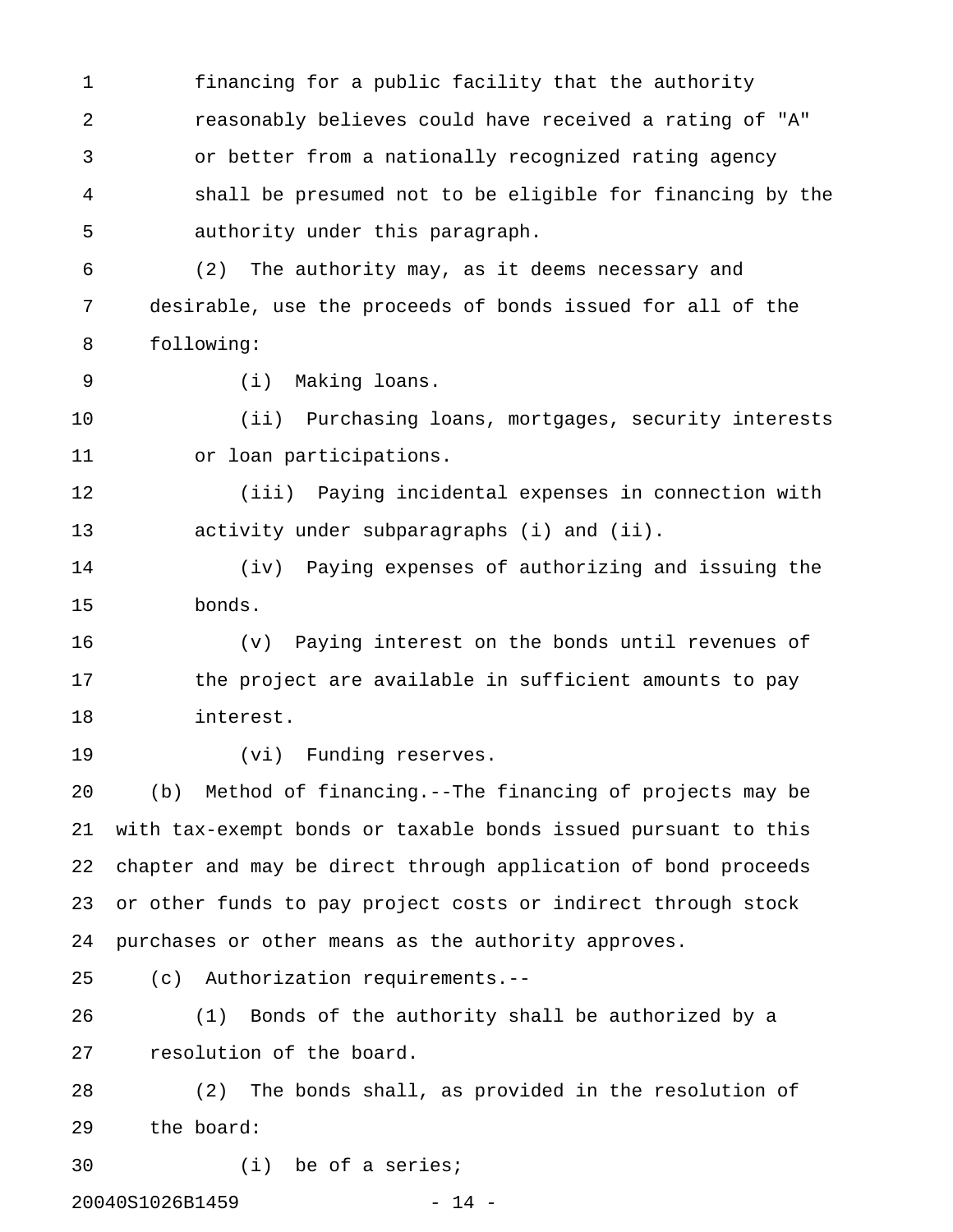1 financing for a public facility that the authority 2 reasonably believes could have received a rating of "A" 3 or better from a nationally recognized rating agency 4 shall be presumed not to be eligible for financing by the 5 authority under this paragraph.

6 (2) The authority may, as it deems necessary and 7 desirable, use the proceeds of bonds issued for all of the 8 following:

9 (i) Making loans.

10 (ii) Purchasing loans, mortgages, security interests 11 or loan participations.

12 (iii) Paying incidental expenses in connection with 13 activity under subparagraphs (i) and (ii).

14 (iv) Paying expenses of authorizing and issuing the 15 bonds.

16 (v) Paying interest on the bonds until revenues of 17 the project are available in sufficient amounts to pay 18 interest.

19 (vi) Funding reserves.

20 (b) Method of financing.--The financing of projects may be 21 with tax-exempt bonds or taxable bonds issued pursuant to this 22 chapter and may be direct through application of bond proceeds 23 or other funds to pay project costs or indirect through stock 24 purchases or other means as the authority approves.

25 (c) Authorization requirements.--

26 (1) Bonds of the authority shall be authorized by a 27 resolution of the board.

28 (2) The bonds shall, as provided in the resolution of 29 the board:

30 (i) be of a series;

20040S1026B1459 - 14 -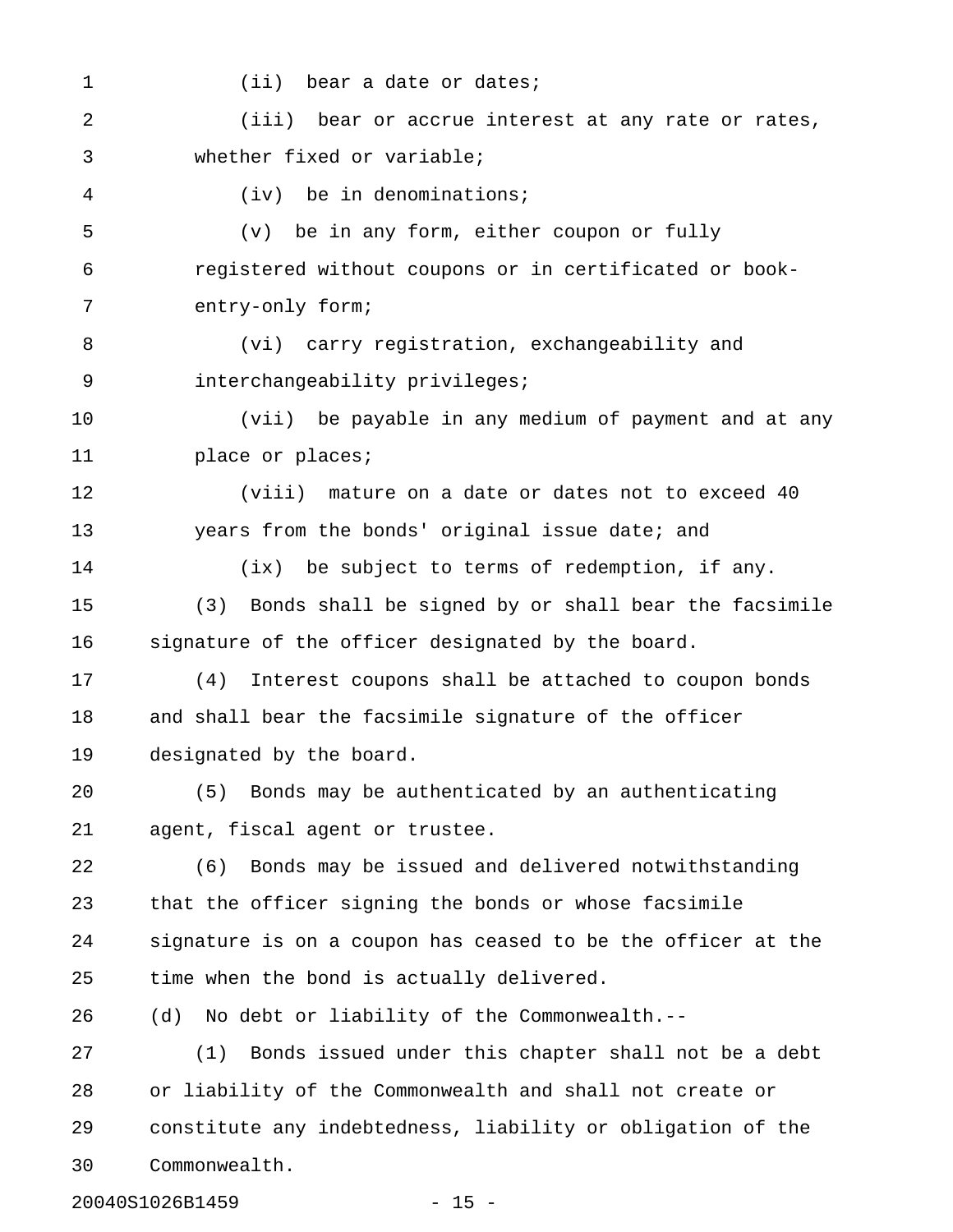1 (ii) bear a date or dates;

2 (iii) bear or accrue interest at any rate or rates, 3 whether fixed or variable;

4 (iv) be in denominations;

5 (v) be in any form, either coupon or fully 6 registered without coupons or in certificated or book-7 entry-only form;

8 (vi) carry registration, exchangeability and 9 interchangeability privileges;

10 (vii) be payable in any medium of payment and at any 11 **place or places;** 

12 (viii) mature on a date or dates not to exceed 40 13 years from the bonds' original issue date; and

14 (ix) be subject to terms of redemption, if any.

15 (3) Bonds shall be signed by or shall bear the facsimile 16 signature of the officer designated by the board.

17 (4) Interest coupons shall be attached to coupon bonds 18 and shall bear the facsimile signature of the officer 19 designated by the board.

20 (5) Bonds may be authenticated by an authenticating 21 agent, fiscal agent or trustee.

22 (6) Bonds may be issued and delivered notwithstanding 23 that the officer signing the bonds or whose facsimile 24 signature is on a coupon has ceased to be the officer at the 25 time when the bond is actually delivered.

26 (d) No debt or liability of the Commonwealth.--

27 (1) Bonds issued under this chapter shall not be a debt 28 or liability of the Commonwealth and shall not create or 29 constitute any indebtedness, liability or obligation of the 30 Commonwealth.

20040S1026B1459 - 15 -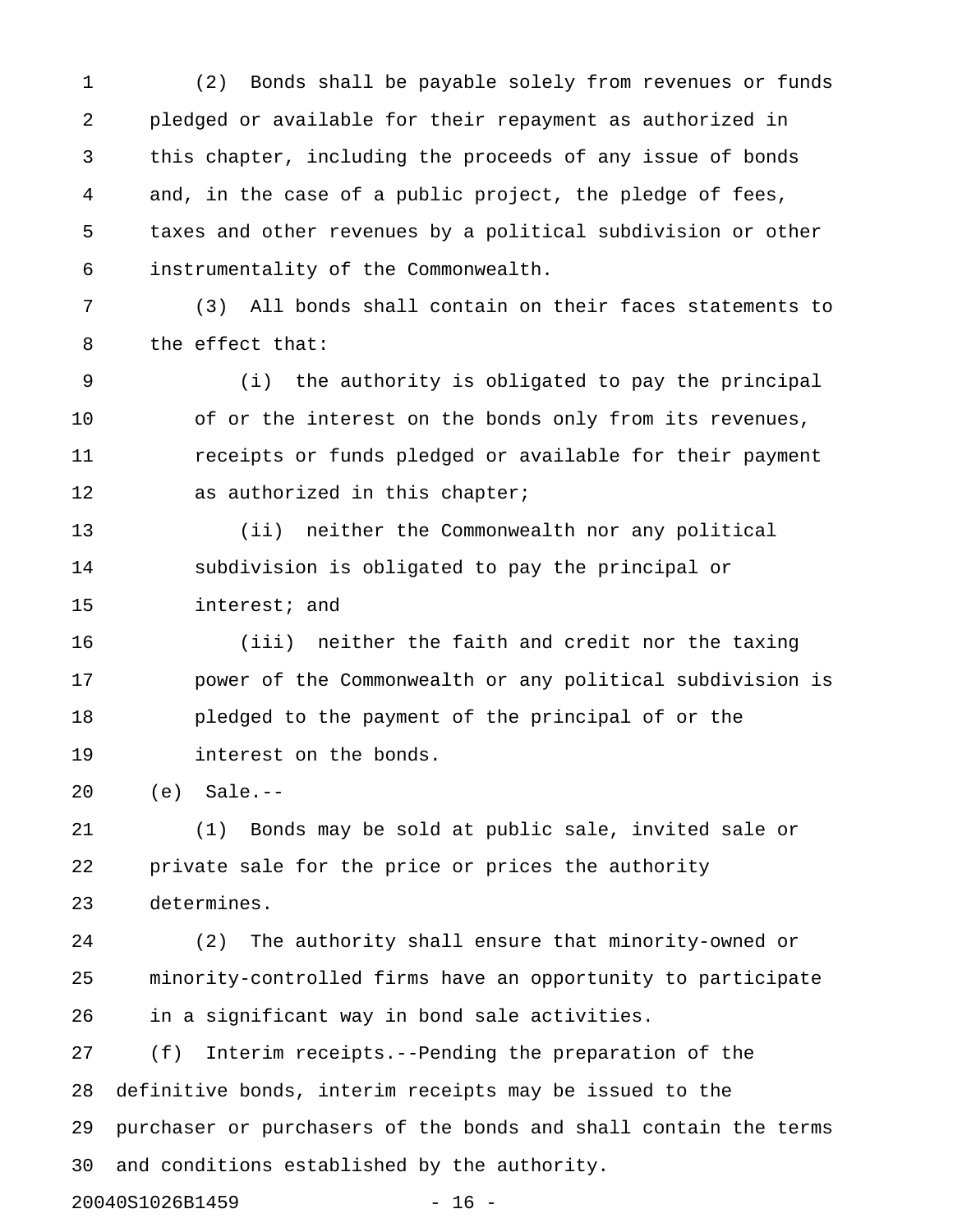1 (2) Bonds shall be payable solely from revenues or funds 2 pledged or available for their repayment as authorized in 3 this chapter, including the proceeds of any issue of bonds 4 and, in the case of a public project, the pledge of fees, 5 taxes and other revenues by a political subdivision or other 6 instrumentality of the Commonwealth.

7 (3) All bonds shall contain on their faces statements to 8 the effect that:

9 (i) the authority is obligated to pay the principal 10 of or the interest on the bonds only from its revenues, 11 receipts or funds pledged or available for their payment 12 as authorized in this chapter;

13 (ii) neither the Commonwealth nor any political 14 subdivision is obligated to pay the principal or 15 interest; and

16 (iii) neither the faith and credit nor the taxing 17 power of the Commonwealth or any political subdivision is 18 pledged to the payment of the principal of or the 19 interest on the bonds.

20 (e) Sale.--

21 (1) Bonds may be sold at public sale, invited sale or 22 private sale for the price or prices the authority 23 determines.

24 (2) The authority shall ensure that minority-owned or 25 minority-controlled firms have an opportunity to participate 26 in a significant way in bond sale activities.

27 (f) Interim receipts.--Pending the preparation of the 28 definitive bonds, interim receipts may be issued to the 29 purchaser or purchasers of the bonds and shall contain the terms 30 and conditions established by the authority.

20040S1026B1459 - 16 -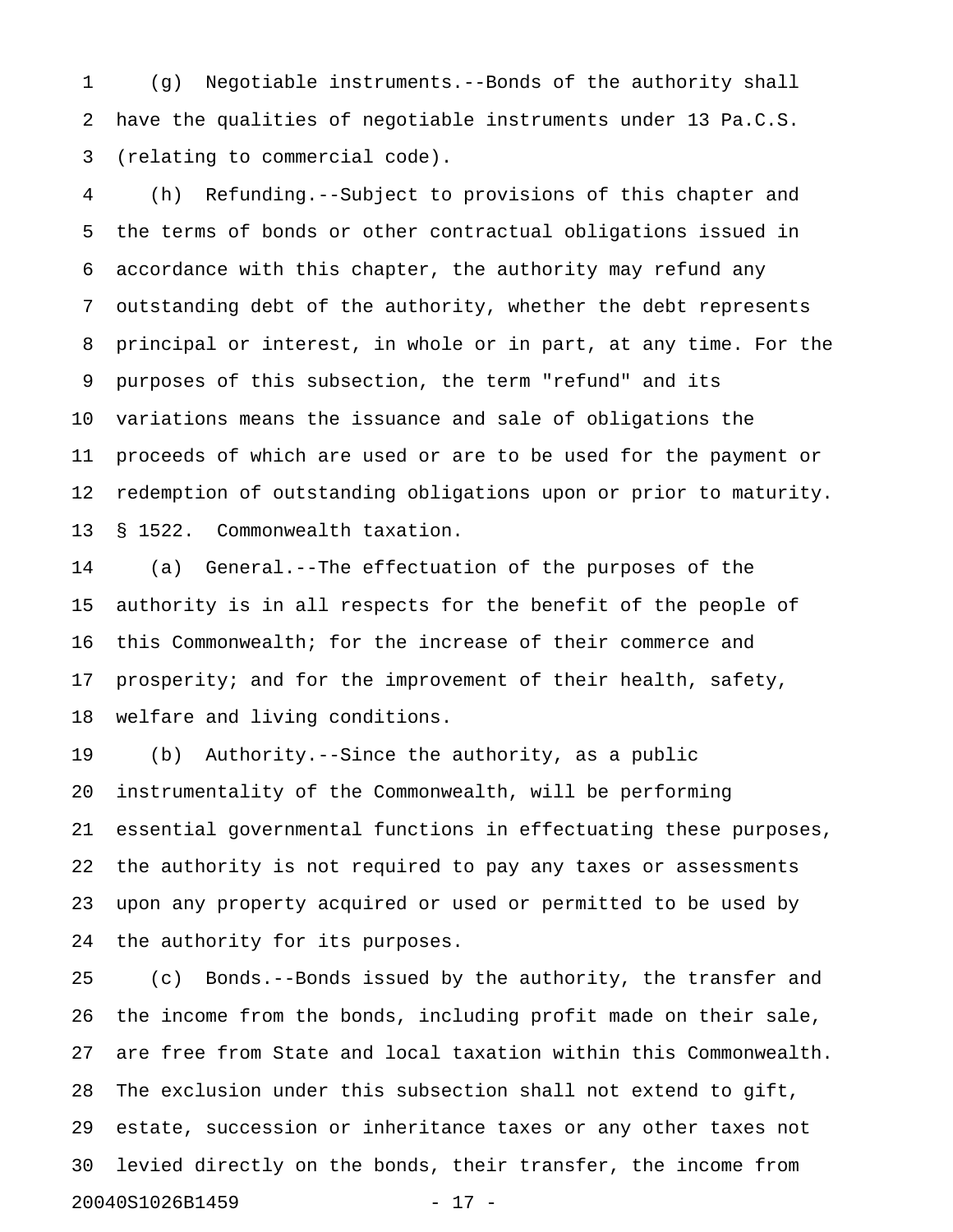1 (g) Negotiable instruments.--Bonds of the authority shall 2 have the qualities of negotiable instruments under 13 Pa.C.S. 3 (relating to commercial code).

4 (h) Refunding.--Subject to provisions of this chapter and 5 the terms of bonds or other contractual obligations issued in 6 accordance with this chapter, the authority may refund any 7 outstanding debt of the authority, whether the debt represents 8 principal or interest, in whole or in part, at any time. For the 9 purposes of this subsection, the term "refund" and its 10 variations means the issuance and sale of obligations the 11 proceeds of which are used or are to be used for the payment or 12 redemption of outstanding obligations upon or prior to maturity. 13 § 1522. Commonwealth taxation.

14 (a) General.--The effectuation of the purposes of the 15 authority is in all respects for the benefit of the people of 16 this Commonwealth; for the increase of their commerce and 17 prosperity; and for the improvement of their health, safety, 18 welfare and living conditions.

19 (b) Authority.--Since the authority, as a public 20 instrumentality of the Commonwealth, will be performing 21 essential governmental functions in effectuating these purposes, 22 the authority is not required to pay any taxes or assessments 23 upon any property acquired or used or permitted to be used by 24 the authority for its purposes.

25 (c) Bonds.--Bonds issued by the authority, the transfer and 26 the income from the bonds, including profit made on their sale, 27 are free from State and local taxation within this Commonwealth. 28 The exclusion under this subsection shall not extend to gift, 29 estate, succession or inheritance taxes or any other taxes not 30 levied directly on the bonds, their transfer, the income from 20040S1026B1459 - 17 -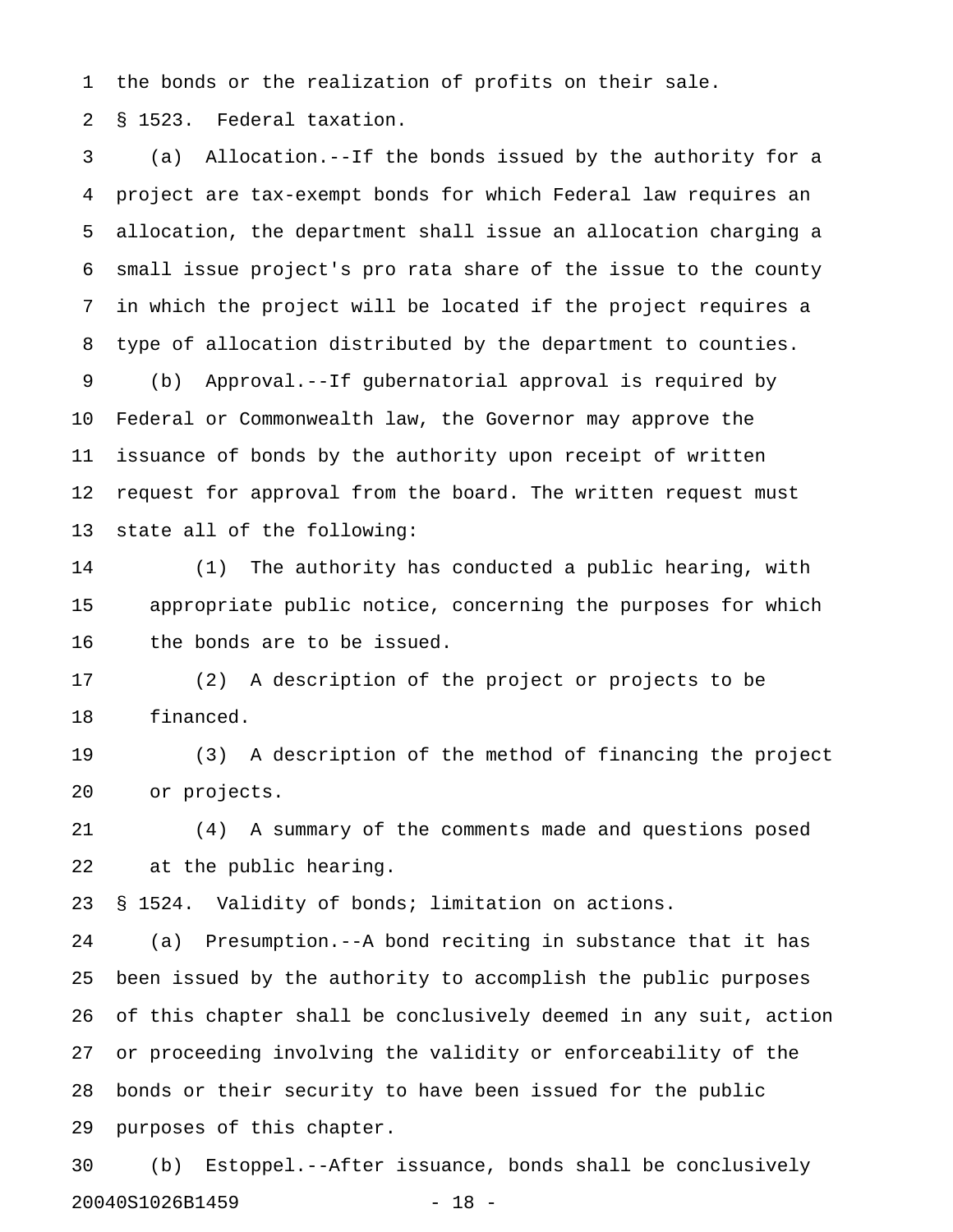1 the bonds or the realization of profits on their sale.

2 § 1523. Federal taxation.

3 (a) Allocation.--If the bonds issued by the authority for a 4 project are tax-exempt bonds for which Federal law requires an 5 allocation, the department shall issue an allocation charging a 6 small issue project's pro rata share of the issue to the county 7 in which the project will be located if the project requires a 8 type of allocation distributed by the department to counties. 9 (b) Approval.--If gubernatorial approval is required by 10 Federal or Commonwealth law, the Governor may approve the 11 issuance of bonds by the authority upon receipt of written 12 request for approval from the board. The written request must 13 state all of the following:

14 (1) The authority has conducted a public hearing, with 15 appropriate public notice, concerning the purposes for which 16 the bonds are to be issued.

17 (2) A description of the project or projects to be 18 financed.

19 (3) A description of the method of financing the project 20 or projects.

21 (4) A summary of the comments made and questions posed 22 at the public hearing.

23 § 1524. Validity of bonds; limitation on actions.

24 (a) Presumption.--A bond reciting in substance that it has 25 been issued by the authority to accomplish the public purposes 26 of this chapter shall be conclusively deemed in any suit, action 27 or proceeding involving the validity or enforceability of the 28 bonds or their security to have been issued for the public 29 purposes of this chapter.

30 (b) Estoppel.--After issuance, bonds shall be conclusively 20040S1026B1459 - 18 -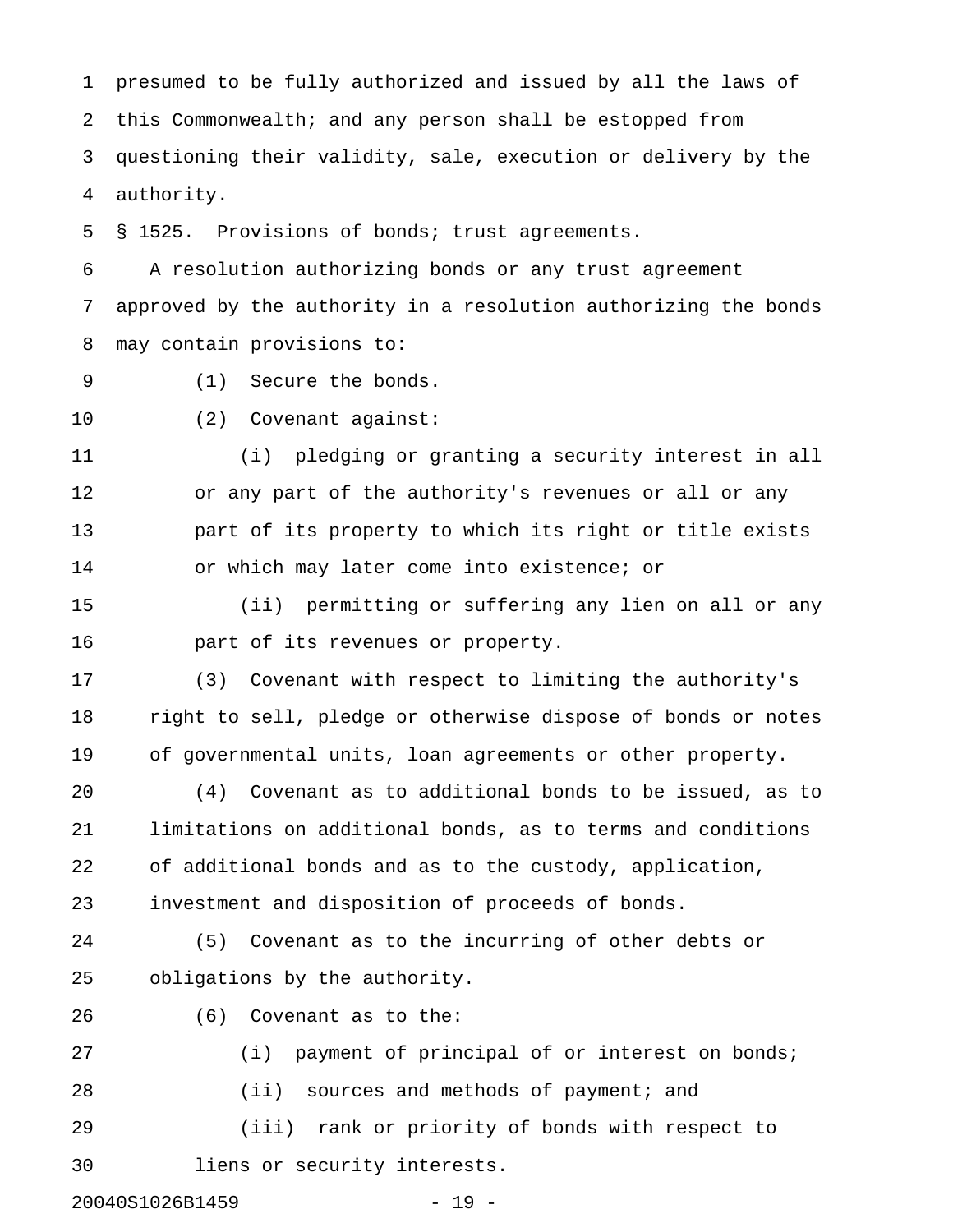1 presumed to be fully authorized and issued by all the laws of 2 this Commonwealth; and any person shall be estopped from 3 questioning their validity, sale, execution or delivery by the 4 authority.

5 § 1525. Provisions of bonds; trust agreements.

6 A resolution authorizing bonds or any trust agreement 7 approved by the authority in a resolution authorizing the bonds 8 may contain provisions to:

- 9 (1) Secure the bonds.
- 10 (2) Covenant against:

11 (i) pledging or granting a security interest in all 12 or any part of the authority's revenues or all or any 13 part of its property to which its right or title exists 14 or which may later come into existence; or

15 (ii) permitting or suffering any lien on all or any 16 part of its revenues or property.

17 (3) Covenant with respect to limiting the authority's 18 right to sell, pledge or otherwise dispose of bonds or notes 19 of governmental units, loan agreements or other property.

20 (4) Covenant as to additional bonds to be issued, as to 21 limitations on additional bonds, as to terms and conditions 22 of additional bonds and as to the custody, application, 23 investment and disposition of proceeds of bonds.

24 (5) Covenant as to the incurring of other debts or 25 obligations by the authority.

26 (6) Covenant as to the:

27 (i) payment of principal of or interest on bonds; 28 (ii) sources and methods of payment; and 29 (iii) rank or priority of bonds with respect to 30 liens or security interests.

20040S1026B1459 - 19 -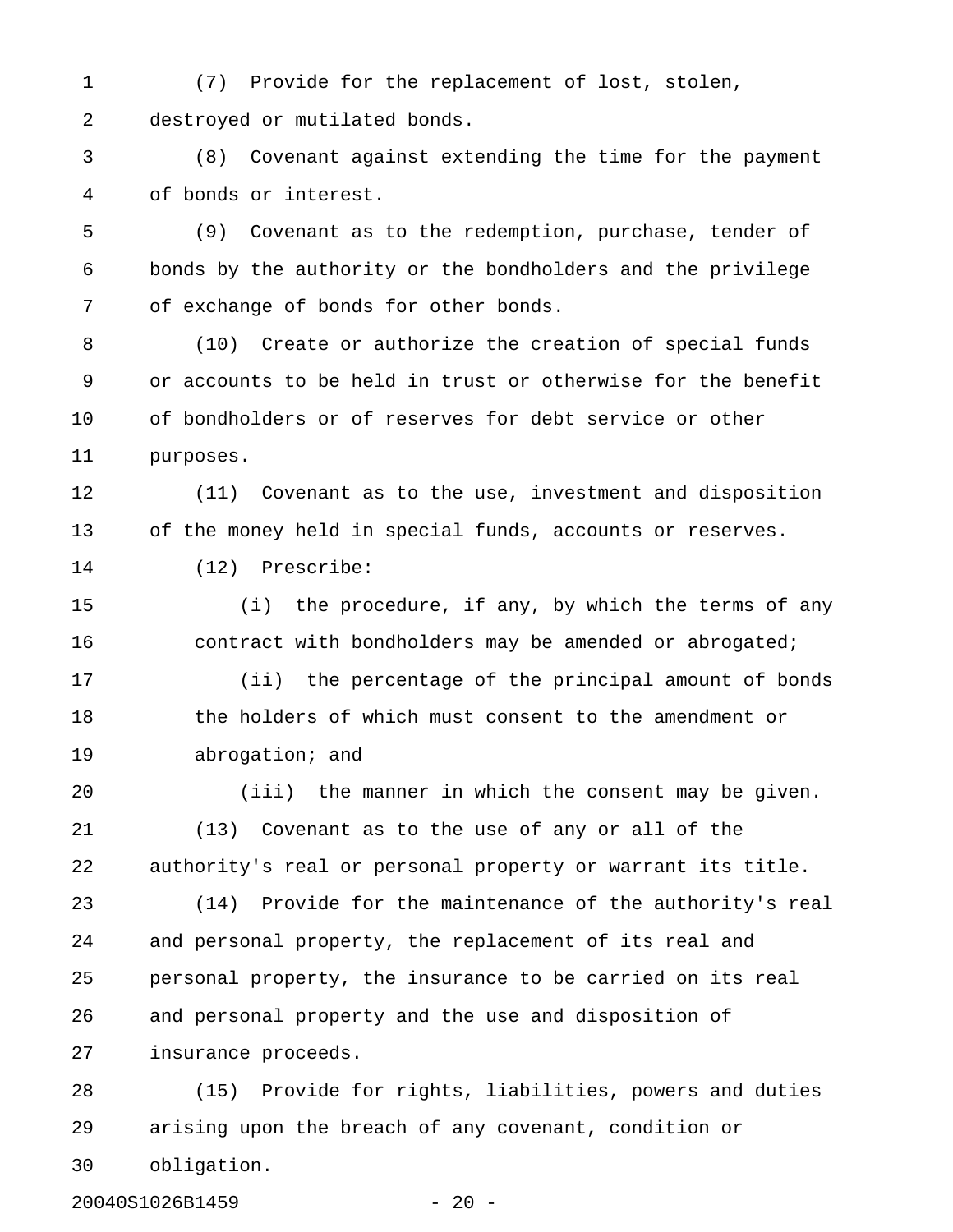1 (7) Provide for the replacement of lost, stolen, 2 destroyed or mutilated bonds.

3 (8) Covenant against extending the time for the payment 4 of bonds or interest.

5 (9) Covenant as to the redemption, purchase, tender of 6 bonds by the authority or the bondholders and the privilege 7 of exchange of bonds for other bonds.

8 (10) Create or authorize the creation of special funds 9 or accounts to be held in trust or otherwise for the benefit 10 of bondholders or of reserves for debt service or other 11 purposes.

12 (11) Covenant as to the use, investment and disposition 13 of the money held in special funds, accounts or reserves.

14 (12) Prescribe:

15 (i) the procedure, if any, by which the terms of any 16 contract with bondholders may be amended or abrogated;

17 (ii) the percentage of the principal amount of bonds 18 the holders of which must consent to the amendment or 19 abrogation; and

20 (iii) the manner in which the consent may be given. 21 (13) Covenant as to the use of any or all of the 22 authority's real or personal property or warrant its title.

23 (14) Provide for the maintenance of the authority's real 24 and personal property, the replacement of its real and 25 personal property, the insurance to be carried on its real 26 and personal property and the use and disposition of 27 insurance proceeds.

28 (15) Provide for rights, liabilities, powers and duties 29 arising upon the breach of any covenant, condition or 30 obligation.

20040S1026B1459 - 20 -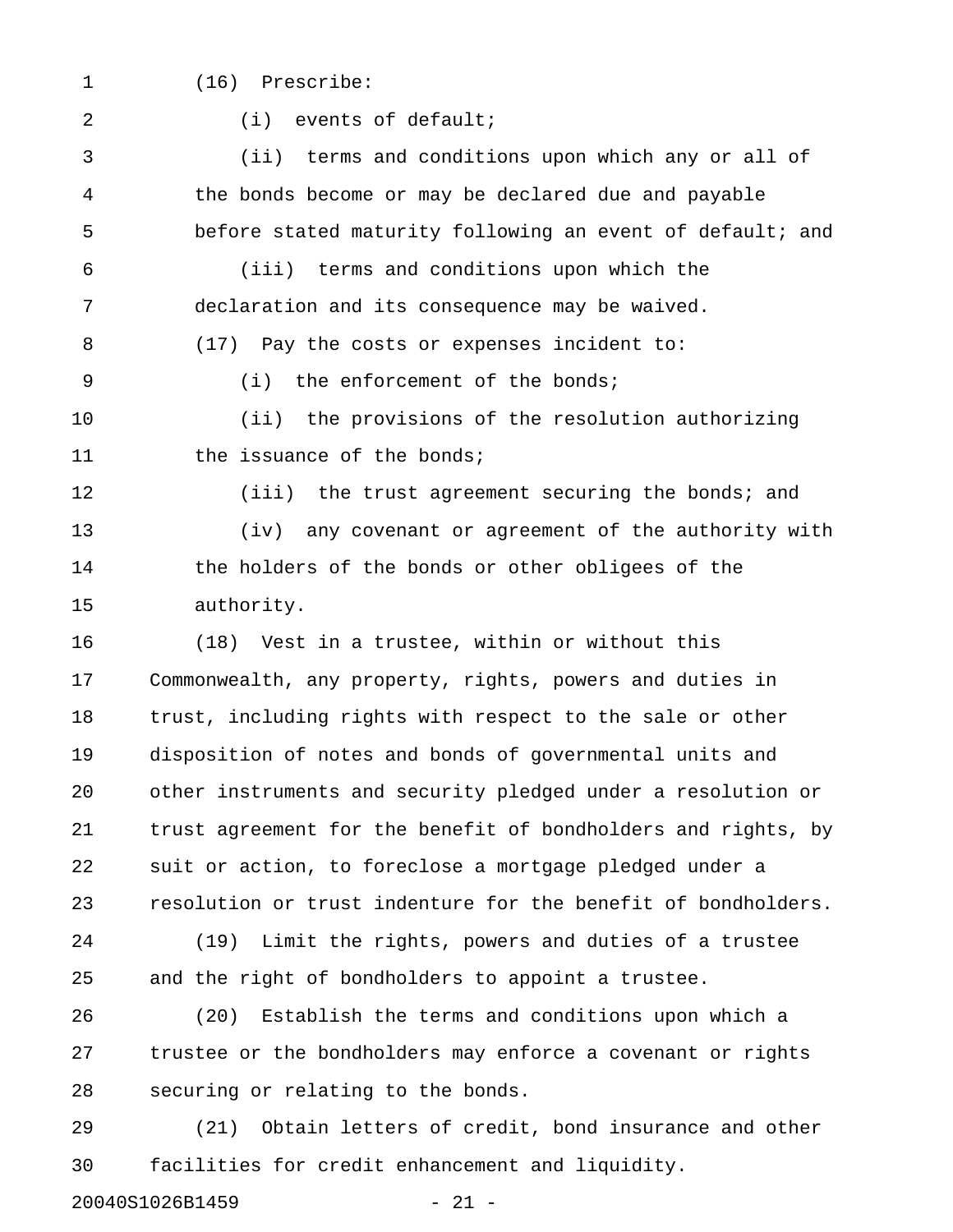- 
- 1 (16) Prescribe:

2 (i) events of default;

3 (ii) terms and conditions upon which any or all of 4 the bonds become or may be declared due and payable 5 before stated maturity following an event of default; and 6 (iii) terms and conditions upon which the 7 declaration and its consequence may be waived.

8 (17) Pay the costs or expenses incident to:

9 (i) the enforcement of the bonds;

10 (ii) the provisions of the resolution authorizing 11 the issuance of the bonds;

12 (iii) the trust agreement securing the bonds; and

13 (iv) any covenant or agreement of the authority with 14 the holders of the bonds or other obligees of the 15 authority.

16 (18) Vest in a trustee, within or without this 17 Commonwealth, any property, rights, powers and duties in 18 trust, including rights with respect to the sale or other 19 disposition of notes and bonds of governmental units and 20 other instruments and security pledged under a resolution or 21 trust agreement for the benefit of bondholders and rights, by 22 suit or action, to foreclose a mortgage pledged under a 23 resolution or trust indenture for the benefit of bondholders.

24 (19) Limit the rights, powers and duties of a trustee 25 and the right of bondholders to appoint a trustee.

26 (20) Establish the terms and conditions upon which a 27 trustee or the bondholders may enforce a covenant or rights 28 securing or relating to the bonds.

29 (21) Obtain letters of credit, bond insurance and other 30 facilities for credit enhancement and liquidity.

20040S1026B1459 - 21 -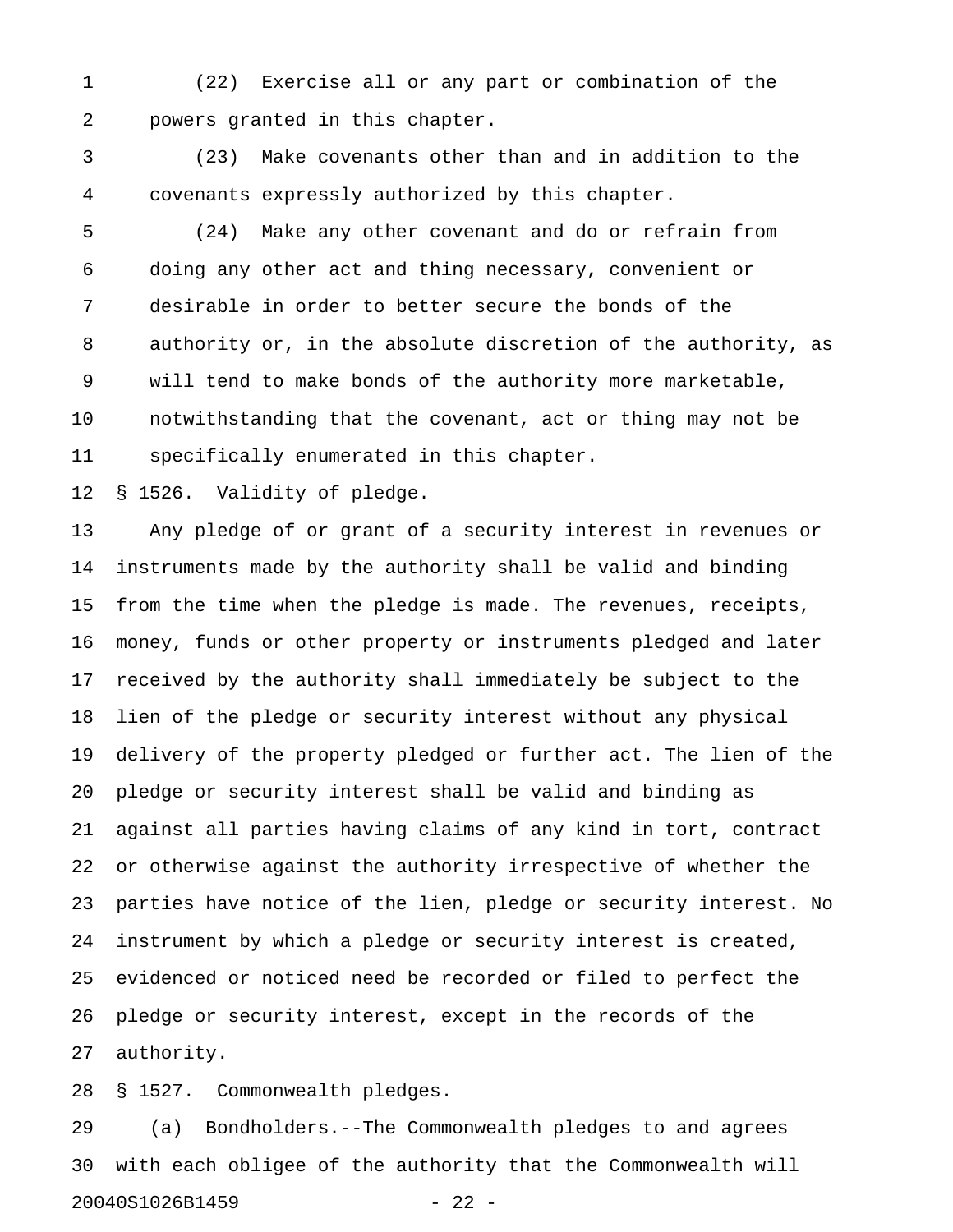1 (22) Exercise all or any part or combination of the 2 powers granted in this chapter.

3 (23) Make covenants other than and in addition to the 4 covenants expressly authorized by this chapter.

5 (24) Make any other covenant and do or refrain from 6 doing any other act and thing necessary, convenient or 7 desirable in order to better secure the bonds of the 8 authority or, in the absolute discretion of the authority, as 9 will tend to make bonds of the authority more marketable, 10 notwithstanding that the covenant, act or thing may not be 11 specifically enumerated in this chapter.

12 § 1526. Validity of pledge.

13 Any pledge of or grant of a security interest in revenues or 14 instruments made by the authority shall be valid and binding 15 from the time when the pledge is made. The revenues, receipts, 16 money, funds or other property or instruments pledged and later 17 received by the authority shall immediately be subject to the 18 lien of the pledge or security interest without any physical 19 delivery of the property pledged or further act. The lien of the 20 pledge or security interest shall be valid and binding as 21 against all parties having claims of any kind in tort, contract 22 or otherwise against the authority irrespective of whether the 23 parties have notice of the lien, pledge or security interest. No 24 instrument by which a pledge or security interest is created, 25 evidenced or noticed need be recorded or filed to perfect the 26 pledge or security interest, except in the records of the 27 authority.

28 § 1527. Commonwealth pledges.

29 (a) Bondholders.--The Commonwealth pledges to and agrees 30 with each obligee of the authority that the Commonwealth will 20040S1026B1459 - 22 -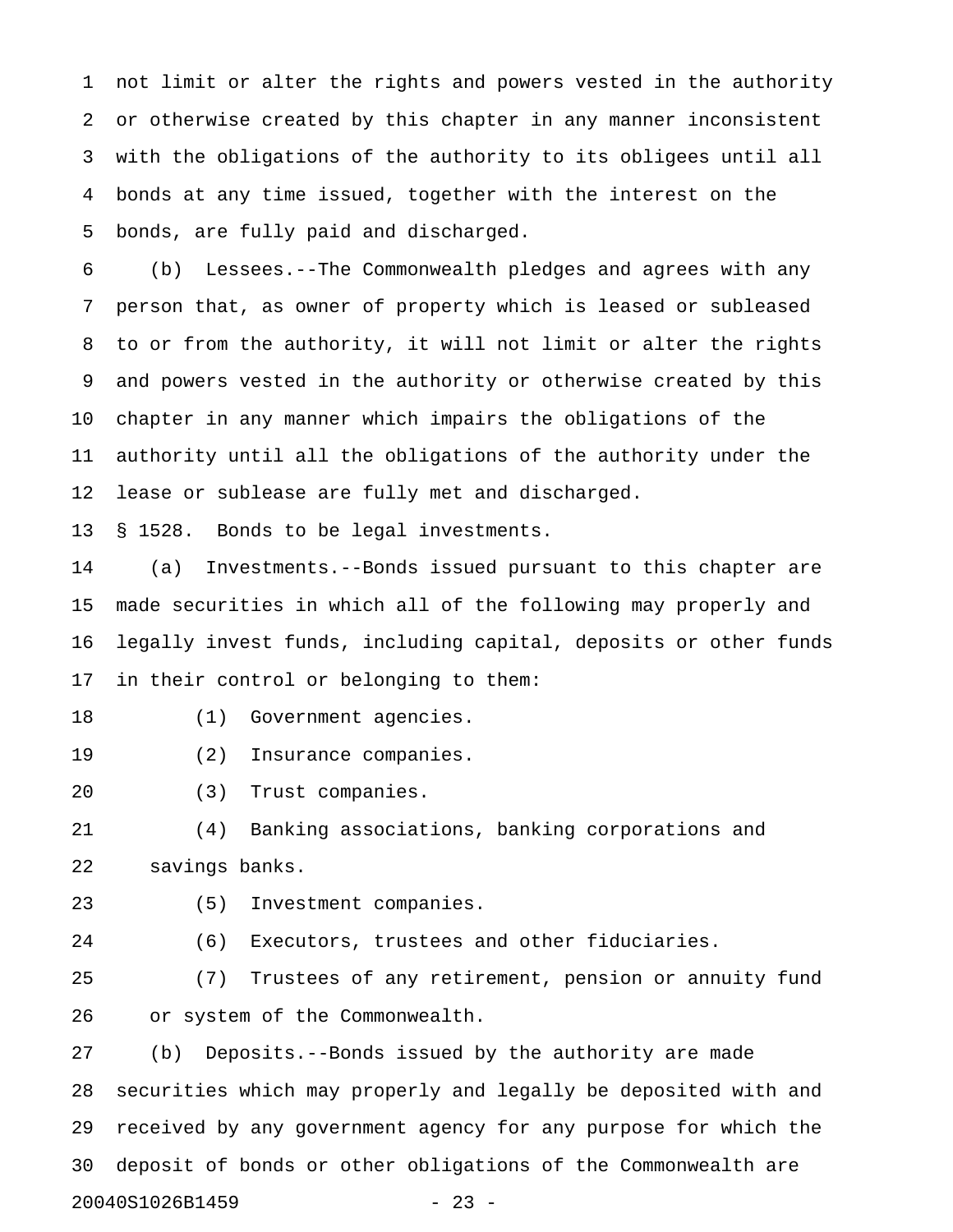1 not limit or alter the rights and powers vested in the authority 2 or otherwise created by this chapter in any manner inconsistent 3 with the obligations of the authority to its obligees until all 4 bonds at any time issued, together with the interest on the 5 bonds, are fully paid and discharged.

6 (b) Lessees.--The Commonwealth pledges and agrees with any 7 person that, as owner of property which is leased or subleased 8 to or from the authority, it will not limit or alter the rights 9 and powers vested in the authority or otherwise created by this 10 chapter in any manner which impairs the obligations of the 11 authority until all the obligations of the authority under the 12 lease or sublease are fully met and discharged.

13 § 1528. Bonds to be legal investments.

14 (a) Investments.--Bonds issued pursuant to this chapter are 15 made securities in which all of the following may properly and 16 legally invest funds, including capital, deposits or other funds 17 in their control or belonging to them:

18 (1) Government agencies.

- 19 (2) Insurance companies.
- 20 (3) Trust companies.

21 (4) Banking associations, banking corporations and 22 savings banks.

23 (5) Investment companies.

24 (6) Executors, trustees and other fiduciaries.

25 (7) Trustees of any retirement, pension or annuity fund 26 or system of the Commonwealth.

27 (b) Deposits.--Bonds issued by the authority are made 28 securities which may properly and legally be deposited with and 29 received by any government agency for any purpose for which the 30 deposit of bonds or other obligations of the Commonwealth are 20040S1026B1459 - 23 -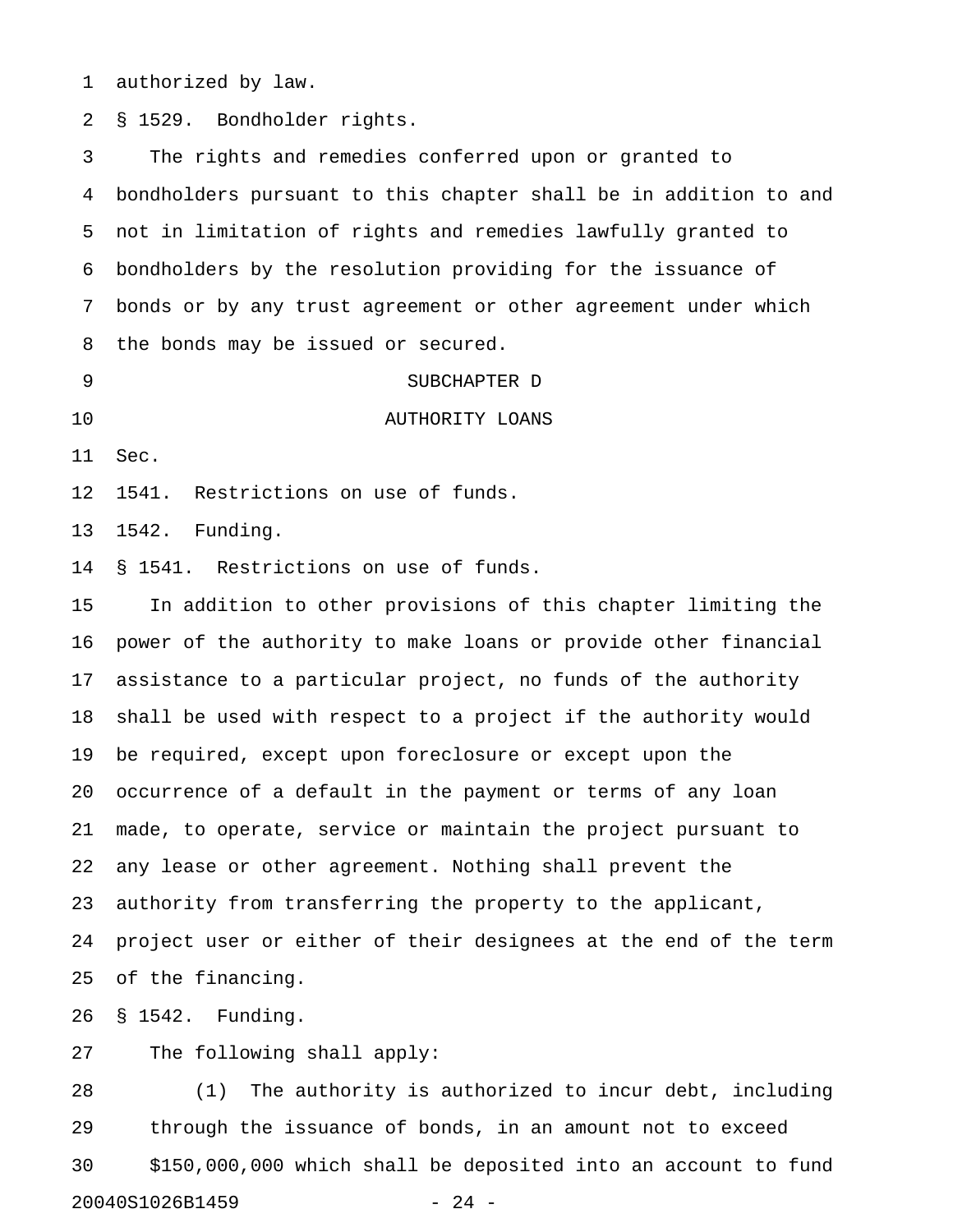1 authorized by law.

2 § 1529. Bondholder rights.

3 The rights and remedies conferred upon or granted to 4 bondholders pursuant to this chapter shall be in addition to and 5 not in limitation of rights and remedies lawfully granted to 6 bondholders by the resolution providing for the issuance of 7 bonds or by any trust agreement or other agreement under which 8 the bonds may be issued or secured.

9 SUBCHAPTER D 10 AUTHORITY LOANS

11 Sec.

12 1541. Restrictions on use of funds.

13 1542. Funding.

14 § 1541. Restrictions on use of funds.

15 In addition to other provisions of this chapter limiting the 16 power of the authority to make loans or provide other financial 17 assistance to a particular project, no funds of the authority 18 shall be used with respect to a project if the authority would 19 be required, except upon foreclosure or except upon the 20 occurrence of a default in the payment or terms of any loan 21 made, to operate, service or maintain the project pursuant to 22 any lease or other agreement. Nothing shall prevent the 23 authority from transferring the property to the applicant, 24 project user or either of their designees at the end of the term 25 of the financing.

26 § 1542. Funding.

27 The following shall apply:

28 (1) The authority is authorized to incur debt, including 29 through the issuance of bonds, in an amount not to exceed 30 \$150,000,000 which shall be deposited into an account to fund 20040S1026B1459 - 24 -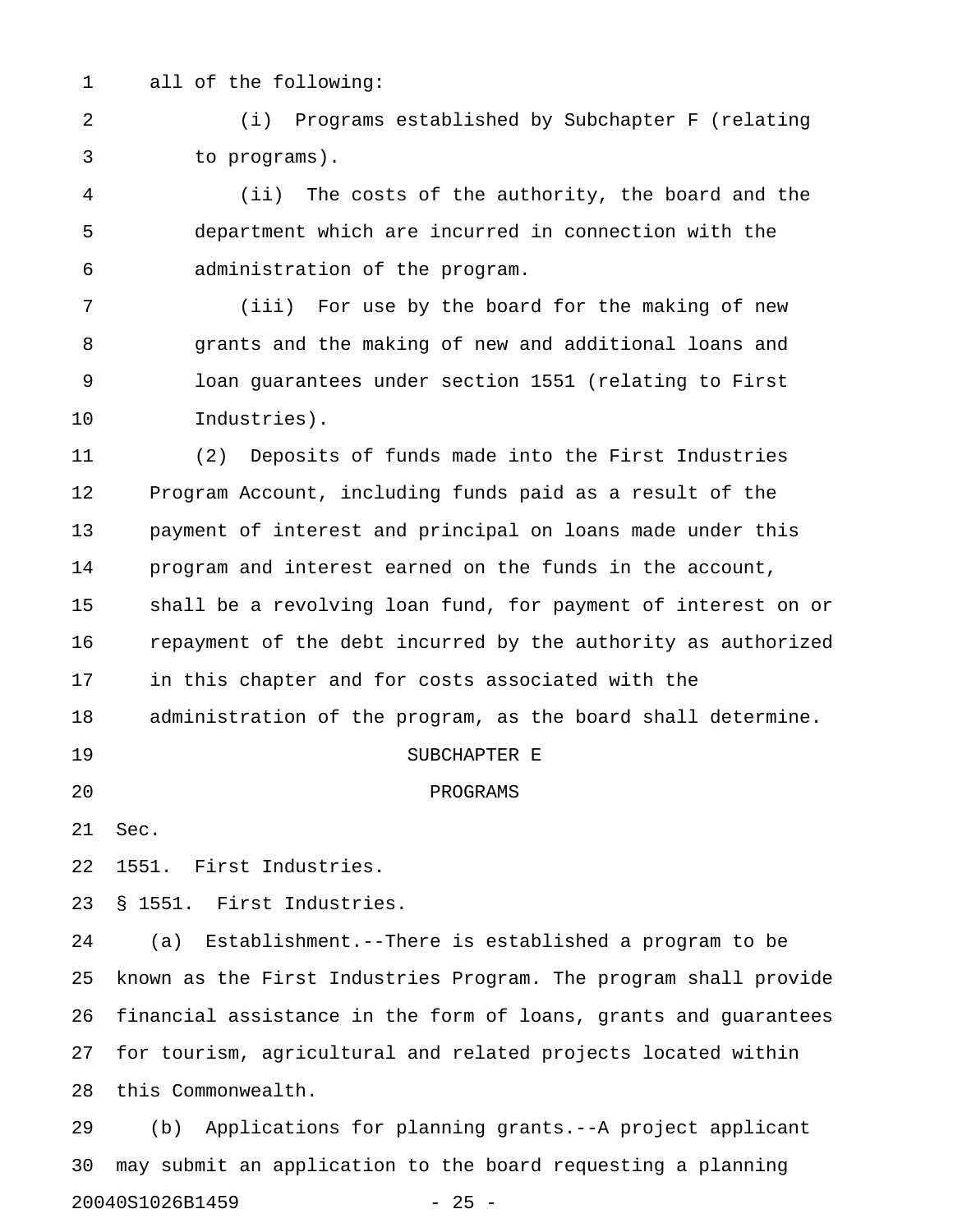1 all of the following:

2 (i) Programs established by Subchapter F (relating 3 to programs).

4 (ii) The costs of the authority, the board and the 5 department which are incurred in connection with the 6 administration of the program.

7 (iii) For use by the board for the making of new 8 grants and the making of new and additional loans and 9 loan guarantees under section 1551 (relating to First 10 Industries).

11 (2) Deposits of funds made into the First Industries 12 Program Account, including funds paid as a result of the 13 payment of interest and principal on loans made under this 14 program and interest earned on the funds in the account, 15 shall be a revolving loan fund, for payment of interest on or 16 repayment of the debt incurred by the authority as authorized 17 in this chapter and for costs associated with the 18 administration of the program, as the board shall determine. 19 SUBCHAPTER E 20 PROGRAMS 21 Sec. 22 1551. First Industries. 23 § 1551. First Industries. 24 (a) Establishment.--There is established a program to be

25 known as the First Industries Program. The program shall provide 26 financial assistance in the form of loans, grants and guarantees 27 for tourism, agricultural and related projects located within 28 this Commonwealth.

29 (b) Applications for planning grants.--A project applicant 30 may submit an application to the board requesting a planning 20040S1026B1459 - 25 -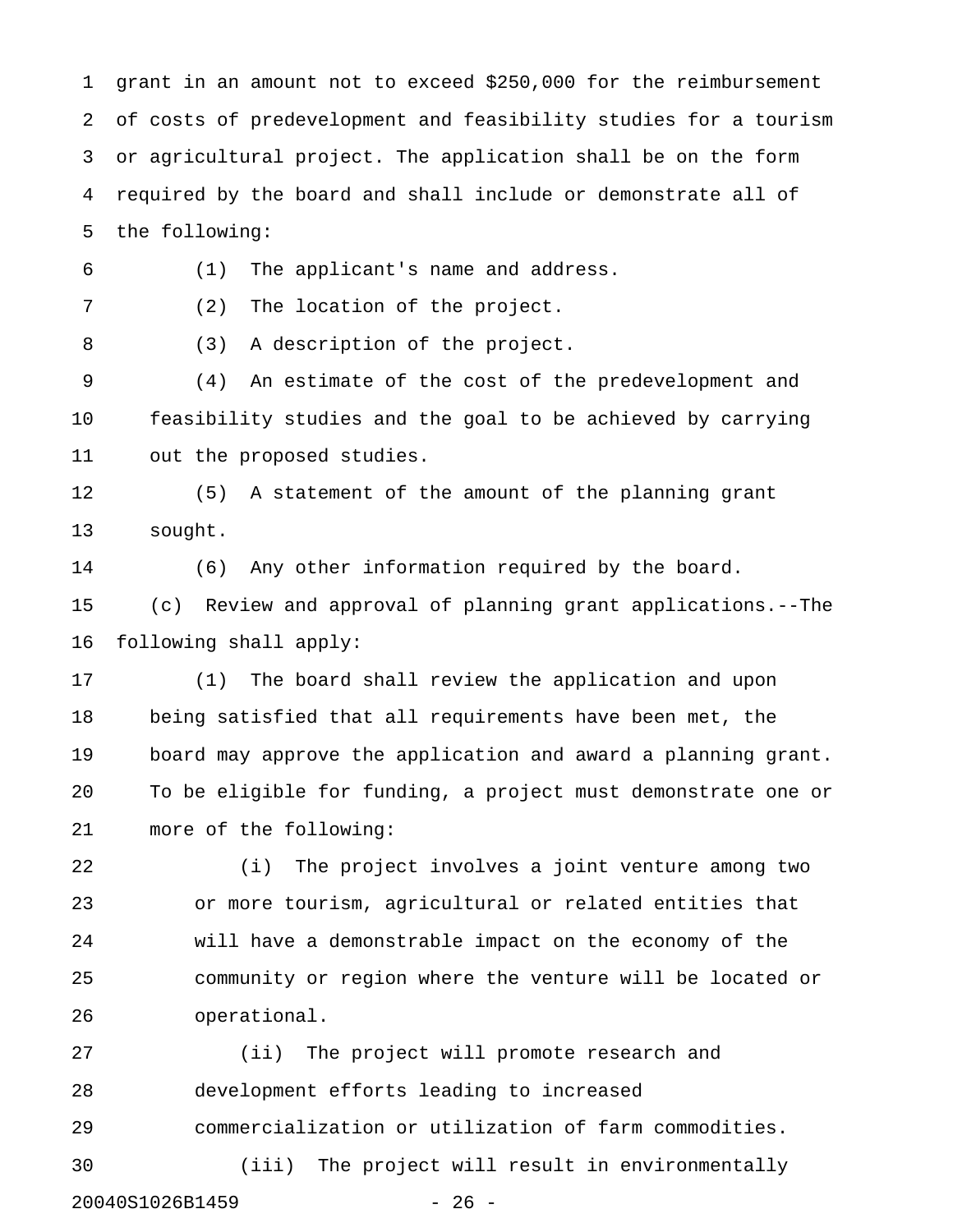1 grant in an amount not to exceed \$250,000 for the reimbursement 2 of costs of predevelopment and feasibility studies for a tourism 3 or agricultural project. The application shall be on the form 4 required by the board and shall include or demonstrate all of 5 the following:

6 (1) The applicant's name and address.

7 (2) The location of the project.

8 (3) A description of the project.

9 (4) An estimate of the cost of the predevelopment and 10 feasibility studies and the goal to be achieved by carrying 11 out the proposed studies.

12 (5) A statement of the amount of the planning grant 13 sought.

14 (6) Any other information required by the board. 15 (c) Review and approval of planning grant applications.--The 16 following shall apply:

17 (1) The board shall review the application and upon 18 being satisfied that all requirements have been met, the 19 board may approve the application and award a planning grant. 20 To be eligible for funding, a project must demonstrate one or 21 more of the following:

22 (i) The project involves a joint venture among two 23 or more tourism, agricultural or related entities that 24 will have a demonstrable impact on the economy of the 25 community or region where the venture will be located or 26 operational.

27 (ii) The project will promote research and 28 development efforts leading to increased 29 commercialization or utilization of farm commodities. 30 (iii) The project will result in environmentally 20040S1026B1459 - 26 -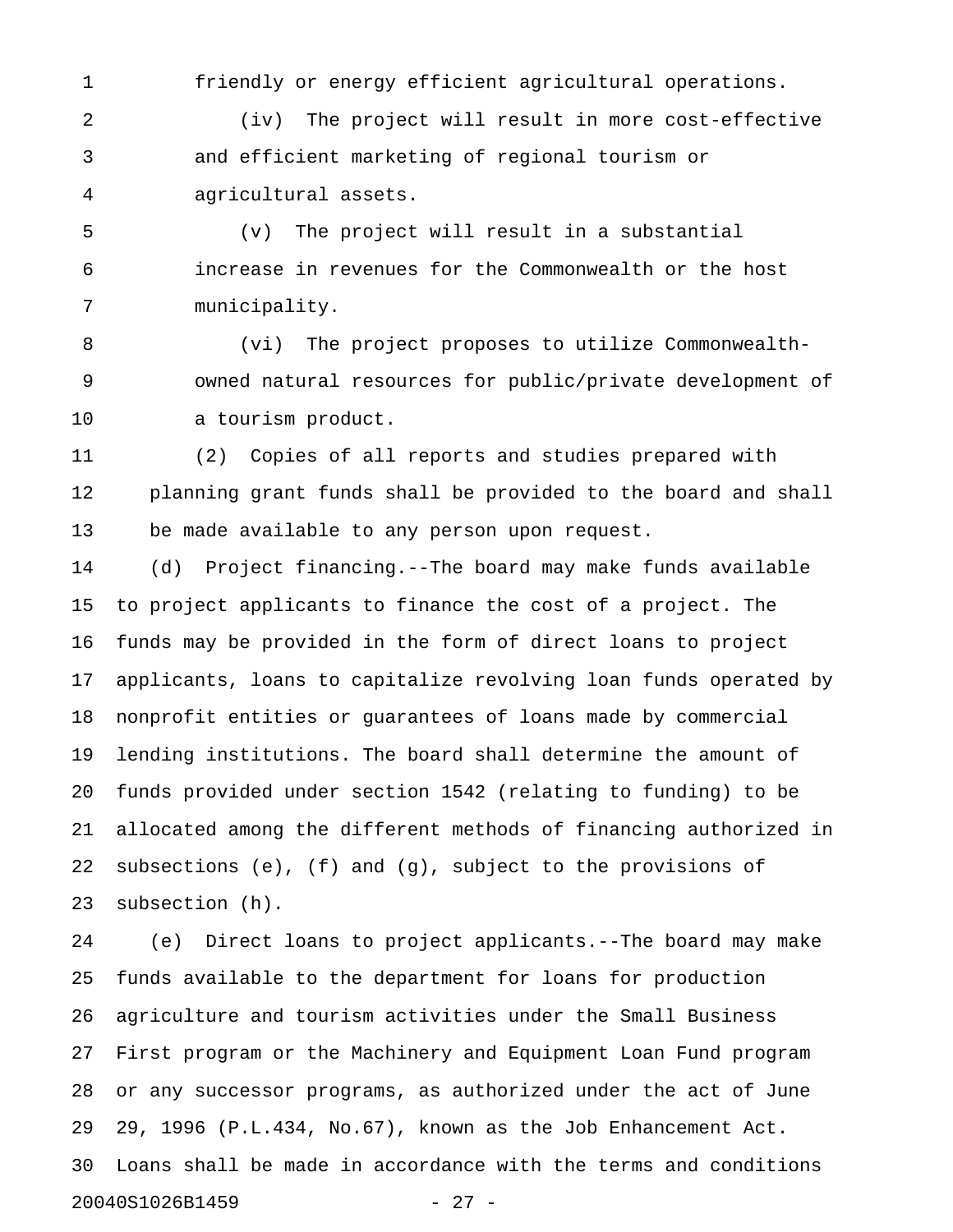1 friendly or energy efficient agricultural operations.

2 (iv) The project will result in more cost-effective 3 and efficient marketing of regional tourism or 4 agricultural assets.

5 (v) The project will result in a substantial 6 increase in revenues for the Commonwealth or the host 7 municipality.

8 (vi) The project proposes to utilize Commonwealth-9 owned natural resources for public/private development of 10 a tourism product.

11 (2) Copies of all reports and studies prepared with 12 planning grant funds shall be provided to the board and shall 13 be made available to any person upon request.

14 (d) Project financing.--The board may make funds available 15 to project applicants to finance the cost of a project. The 16 funds may be provided in the form of direct loans to project 17 applicants, loans to capitalize revolving loan funds operated by 18 nonprofit entities or guarantees of loans made by commercial 19 lending institutions. The board shall determine the amount of 20 funds provided under section 1542 (relating to funding) to be 21 allocated among the different methods of financing authorized in 22 subsections (e), (f) and (g), subject to the provisions of 23 subsection (h).

24 (e) Direct loans to project applicants.--The board may make 25 funds available to the department for loans for production 26 agriculture and tourism activities under the Small Business 27 First program or the Machinery and Equipment Loan Fund program 28 or any successor programs, as authorized under the act of June 29 29, 1996 (P.L.434, No.67), known as the Job Enhancement Act. 30 Loans shall be made in accordance with the terms and conditions 20040S1026B1459 - 27 -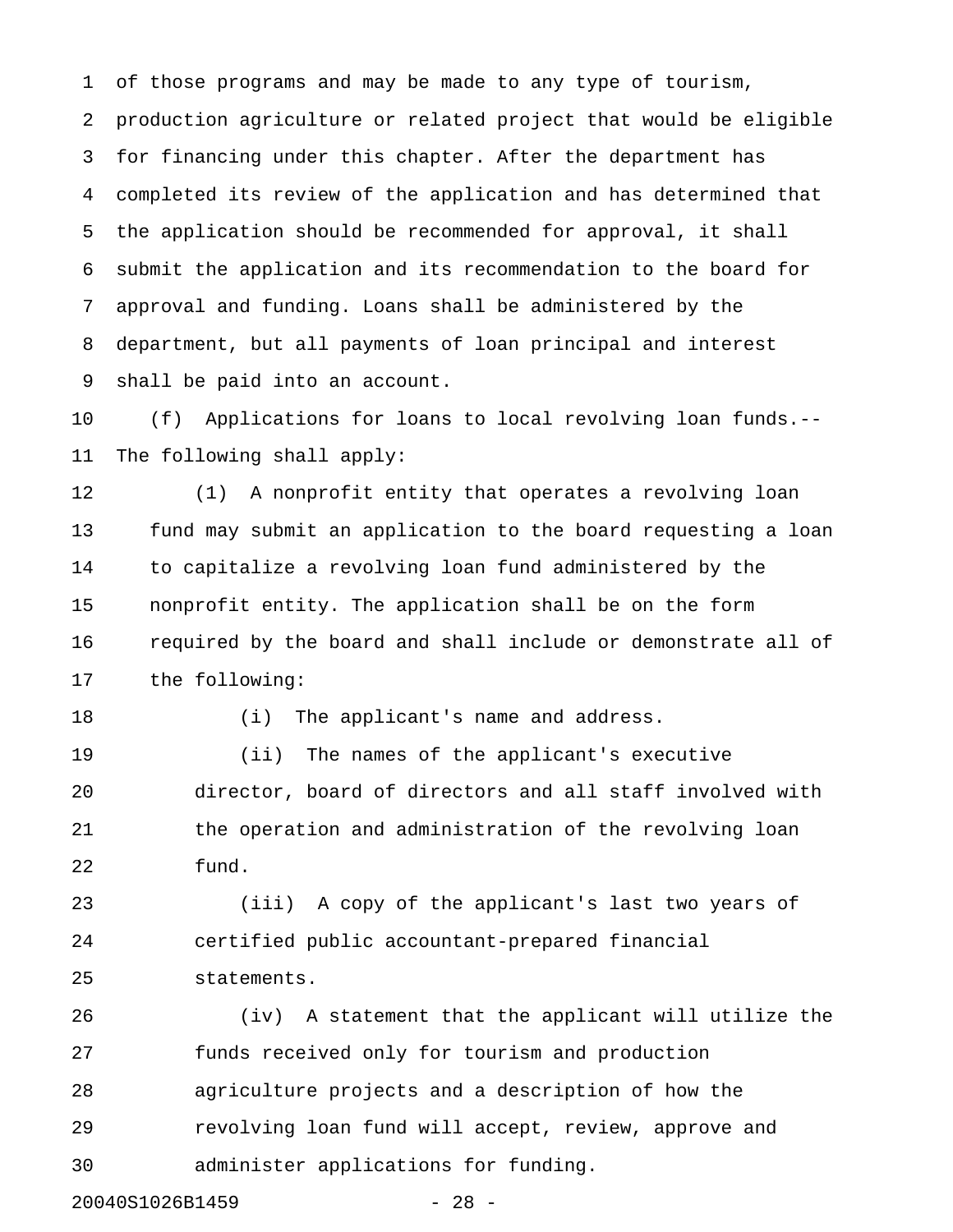1 of those programs and may be made to any type of tourism, 2 production agriculture or related project that would be eligible 3 for financing under this chapter. After the department has 4 completed its review of the application and has determined that 5 the application should be recommended for approval, it shall 6 submit the application and its recommendation to the board for 7 approval and funding. Loans shall be administered by the 8 department, but all payments of loan principal and interest 9 shall be paid into an account.

10 (f) Applications for loans to local revolving loan funds.-- 11 The following shall apply:

12 (1) A nonprofit entity that operates a revolving loan 13 fund may submit an application to the board requesting a loan 14 to capitalize a revolving loan fund administered by the 15 nonprofit entity. The application shall be on the form 16 required by the board and shall include or demonstrate all of 17 the following:

18 (i) The applicant's name and address.

19 (ii) The names of the applicant's executive 20 director, board of directors and all staff involved with 21 the operation and administration of the revolving loan 22 fund.

23 (iii) A copy of the applicant's last two years of 24 certified public accountant-prepared financial 25 statements.

26 (iv) A statement that the applicant will utilize the 27 funds received only for tourism and production 28 agriculture projects and a description of how the 29 revolving loan fund will accept, review, approve and 30 administer applications for funding.

20040S1026B1459 - 28 -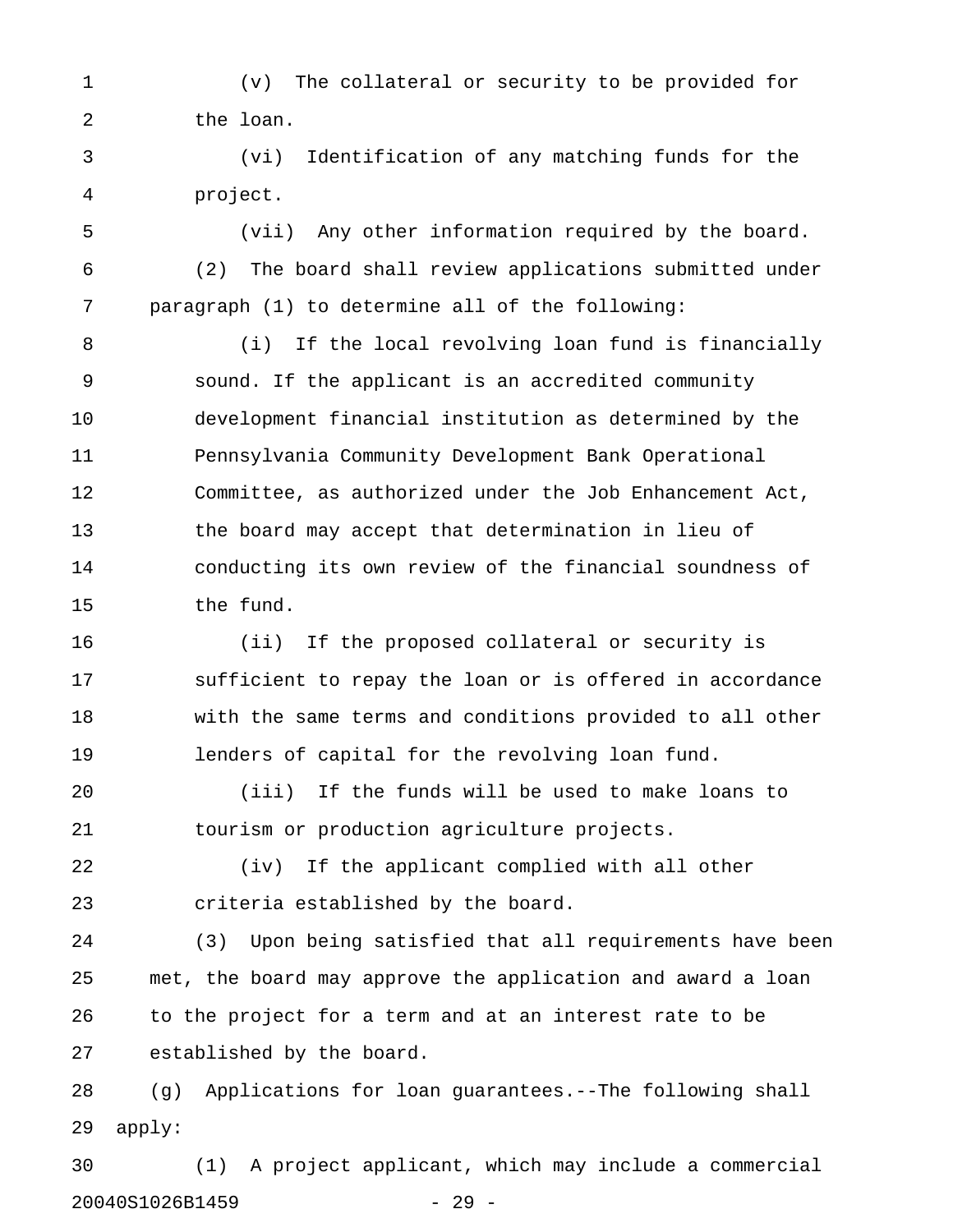1 (v) The collateral or security to be provided for 2 the loan.

3 (vi) Identification of any matching funds for the 4 project.

5 (vii) Any other information required by the board. 6 (2) The board shall review applications submitted under 7 paragraph (1) to determine all of the following:

8 (i) If the local revolving loan fund is financially 9 sound. If the applicant is an accredited community 10 development financial institution as determined by the 11 Pennsylvania Community Development Bank Operational 12 Committee, as authorized under the Job Enhancement Act, 13 the board may accept that determination in lieu of 14 conducting its own review of the financial soundness of 15 the fund.

16 (ii) If the proposed collateral or security is 17 sufficient to repay the loan or is offered in accordance 18 with the same terms and conditions provided to all other 19 lenders of capital for the revolving loan fund.

20 (iii) If the funds will be used to make loans to 21 tourism or production agriculture projects.

22 (iv) If the applicant complied with all other 23 criteria established by the board.

24 (3) Upon being satisfied that all requirements have been 25 met, the board may approve the application and award a loan 26 to the project for a term and at an interest rate to be 27 established by the board.

28 (g) Applications for loan guarantees.--The following shall 29 apply:

30 (1) A project applicant, which may include a commercial 20040S1026B1459 - 29 -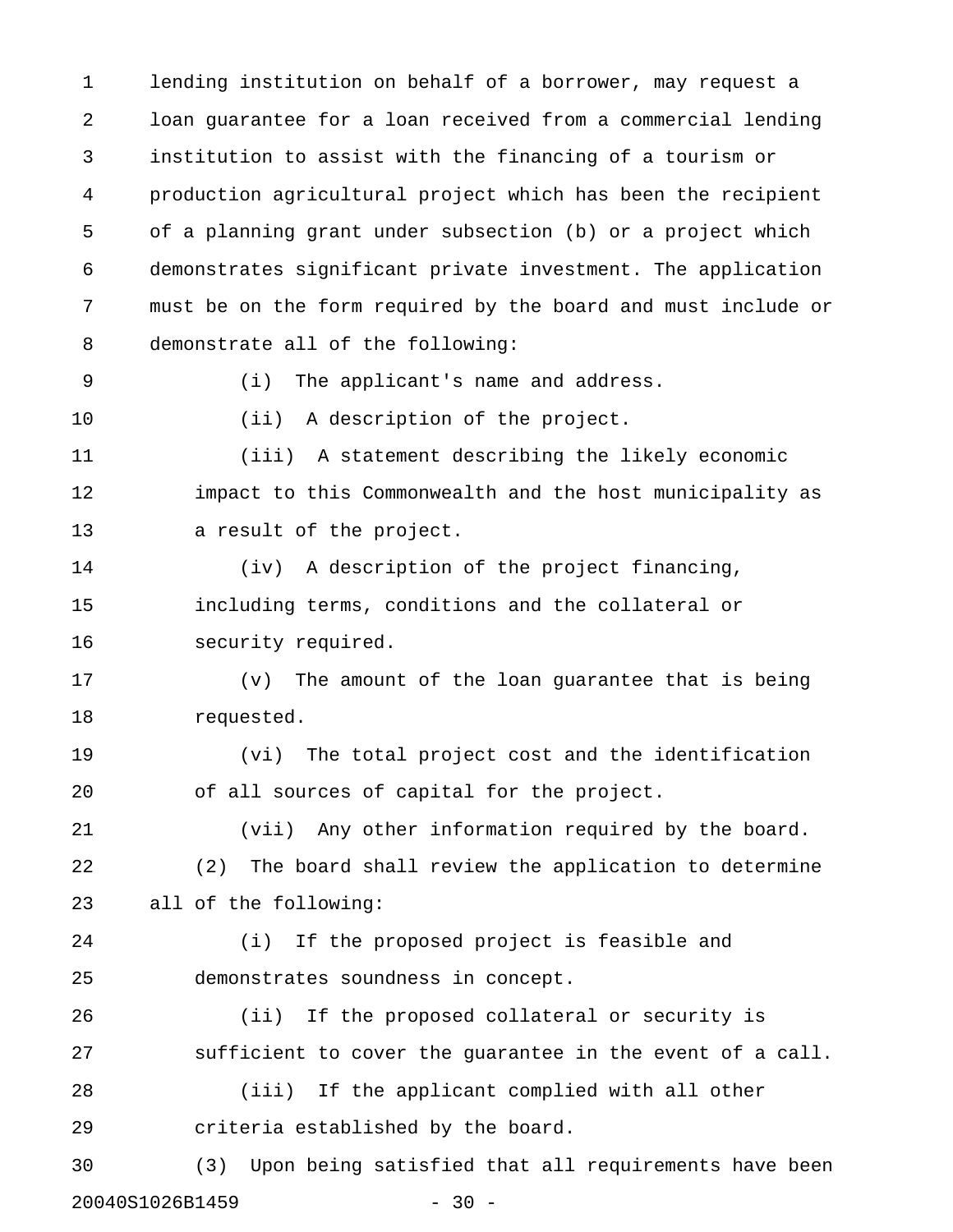1 lending institution on behalf of a borrower, may request a 2 loan guarantee for a loan received from a commercial lending 3 institution to assist with the financing of a tourism or 4 production agricultural project which has been the recipient 5 of a planning grant under subsection (b) or a project which 6 demonstrates significant private investment. The application 7 must be on the form required by the board and must include or 8 demonstrate all of the following:

9 (i) The applicant's name and address.

10 (ii) A description of the project.

11 (iii) A statement describing the likely economic 12 impact to this Commonwealth and the host municipality as 13 a result of the project.

14 (iv) A description of the project financing, 15 including terms, conditions and the collateral or 16 security required.

17 (v) The amount of the loan guarantee that is being 18 requested.

19 (vi) The total project cost and the identification 20 of all sources of capital for the project.

21 (vii) Any other information required by the board. 22 (2) The board shall review the application to determine 23 all of the following:

24 (i) If the proposed project is feasible and 25 demonstrates soundness in concept.

26 (ii) If the proposed collateral or security is 27 sufficient to cover the guarantee in the event of a call.

28 (iii) If the applicant complied with all other 29 criteria established by the board.

30 (3) Upon being satisfied that all requirements have been 20040S1026B1459 - 30 -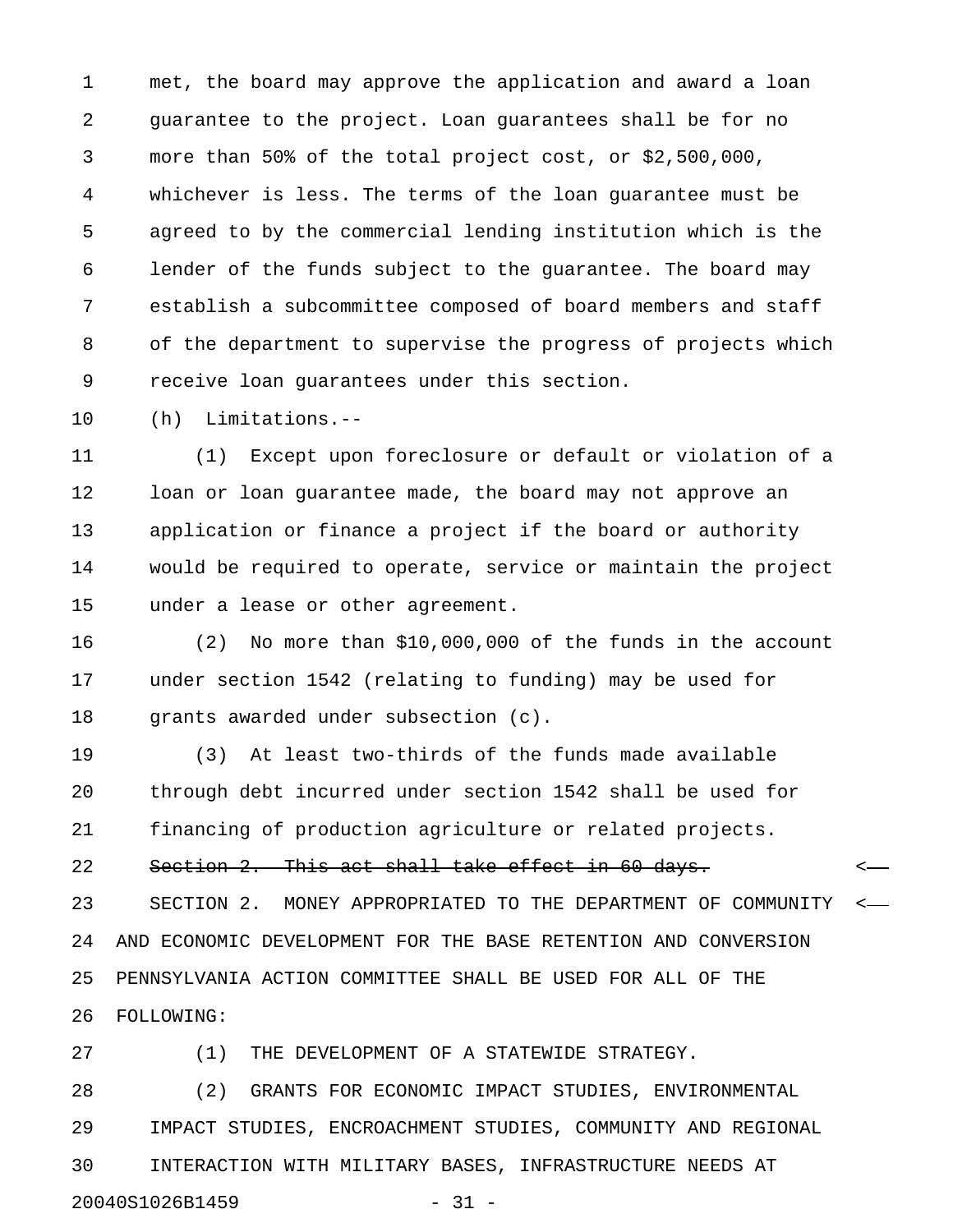1 met, the board may approve the application and award a loan 2 guarantee to the project. Loan guarantees shall be for no 3 more than 50% of the total project cost, or \$2,500,000, 4 whichever is less. The terms of the loan guarantee must be 5 agreed to by the commercial lending institution which is the 6 lender of the funds subject to the guarantee. The board may 7 establish a subcommittee composed of board members and staff 8 of the department to supervise the progress of projects which 9 receive loan guarantees under this section.

10 (h) Limitations.--

11 (1) Except upon foreclosure or default or violation of a 12 loan or loan guarantee made, the board may not approve an 13 application or finance a project if the board or authority 14 would be required to operate, service or maintain the project 15 under a lease or other agreement.

16 (2) No more than \$10,000,000 of the funds in the account 17 under section 1542 (relating to funding) may be used for 18 grants awarded under subsection (c).

19 (3) At least two-thirds of the funds made available 20 through debt incurred under section 1542 shall be used for 21 financing of production agriculture or related projects.

22 Section 2. This act shall take effect in 60 days.

23 SECTION 2. MONEY APPROPRIATED TO THE DEPARTMENT OF COMMUNITY < 24 AND ECONOMIC DEVELOPMENT FOR THE BASE RETENTION AND CONVERSION 25 PENNSYLVANIA ACTION COMMITTEE SHALL BE USED FOR ALL OF THE 26 FOLLOWING:

27 (1) THE DEVELOPMENT OF A STATEWIDE STRATEGY.

28 (2) GRANTS FOR ECONOMIC IMPACT STUDIES, ENVIRONMENTAL 29 IMPACT STUDIES, ENCROACHMENT STUDIES, COMMUNITY AND REGIONAL 30 INTERACTION WITH MILITARY BASES, INFRASTRUCTURE NEEDS AT 20040S1026B1459 - 31 -